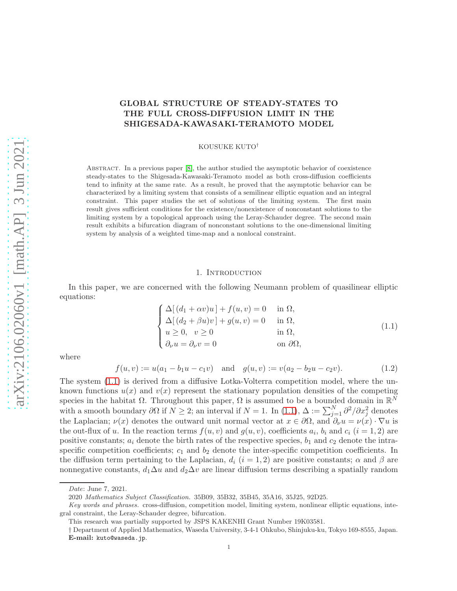# GLOBAL STRUCTURE OF STEADY-STATES TO THE FULL CROSS-DIFFUSION LIMIT IN THE SHIGESADA-KAWASAKI-TERAMOTO MODEL

KOUSUKE KUTO†

ABSTRACT. In a previous paper [\[8\]](#page-31-0), the author studied the asymptotic behavior of coexistence steady-states to the Shigesada-Kawasaki-Teramoto model as both cross-diffusion coefficients tend to infinity at the same rate. As a result, he proved that the asymptotic behavior can be characterized by a limiting system that consists of a semilinear elliptic equation and an integral constraint. This paper studies the set of solutions of the limiting system. The first main result gives sufficient conditions for the existence/nonexistence of nonconstant solutions to the limiting system by a topological approach using the Leray-Schauder degree. The second main result exhibits a bifurcation diagram of nonconstant solutions to the one-dimensional limiting system by analysis of a weighted time-map and a nonlocal constraint.

### 1. INTRODUCTION

In this paper, we are concerned with the following Neumann problem of quasilinear elliptic equations:

<span id="page-0-0"></span>
$$
\begin{cases}\n\Delta[(d_1 + \alpha v)u] + f(u, v) = 0 & \text{in } \Omega, \\
\Delta[(d_2 + \beta u)v] + g(u, v) = 0 & \text{in } \Omega, \\
u \ge 0, v \ge 0 & \text{in } \Omega, \\
\partial_\nu u = \partial_\nu v = 0 & \text{on } \partial\Omega,\n\end{cases}
$$
\n(1.1)

where

<span id="page-0-1"></span>
$$
f(u, v) := u(a_1 - b_1 u - c_1 v) \text{ and } g(u, v) := v(a_2 - b_2 u - c_2 v).
$$
 (1.2)

The system [\(1.1\)](#page-0-0) is derived from a diffusive Lotka-Volterra competition model, where the unknown functions  $u(x)$  and  $v(x)$  represent the stationary population densities of the competing species in the habitat  $\Omega$ . Throughout this paper,  $\Omega$  is assumed to be a bounded domain in  $\mathbb{R}^N$ with a smooth boundary  $\partial\Omega$  if  $N\geq 2$ ; an interval if  $N=1$ . In  $(1.1)$ ,  $\Delta := \sum_{j=1}^{N} \frac{\partial^2}{\partial x_j^2}$  denotes the Laplacian;  $\nu(x)$  denotes the outward unit normal vector at  $x \in \partial\Omega$ , and  $\partial_{\nu}u = \nu(x) \cdot \nabla u$  is the out-flux of u. In the reaction terms  $f(u, v)$  and  $g(u, v)$ , coefficients  $a_i$ ,  $b_i$  and  $c_i$   $(i = 1, 2)$  are positive constants;  $a_i$  denote the birth rates of the respective species,  $b_1$  and  $c_2$  denote the intraspecific competition coefficients;  $c_1$  and  $b_2$  denote the inter-specific competition coefficients. In the diffusion term pertaining to the Laplacian,  $d_i$  (i = 1, 2) are positive constants;  $\alpha$  and  $\beta$  are nonnegative constants,  $d_1\Delta u$  and  $d_2\Delta v$  are linear diffusion terms describing a spatially random

Date: June 7, 2021.

<sup>2020</sup> Mathematics Subject Classification. 35B09, 35B32, 35B45, 35A16, 35J25, 92D25.

Key words and phrases. cross-diffusion, competition model, limiting system, nonlinear elliptic equations, integral constraint, the Leray-Schauder degree, bifurcation.

This research was partially supported by JSPS KAKENHI Grant Number 19K03581.

<sup>†</sup> Department of Applied Mathematics, Waseda University, 3-4-1 Ohkubo, Shinjuku-ku, Tokyo 169-8555, Japan. E-mail: kuto@waseda.jp.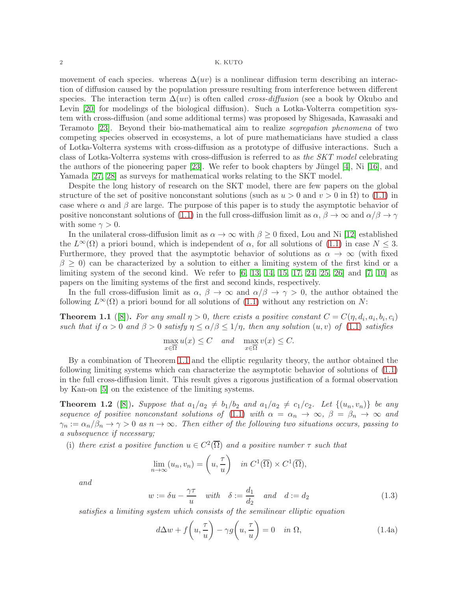movement of each species. whereas  $\Delta(w)$  is a nonlinear diffusion term describing an interaction of diffusion caused by the population pressure resulting from interference between different species. The interaction term  $\Delta(uv)$  is often called *cross-diffusion* (see a book by Okubo and Levin [\[20\]](#page-31-1) for modelings of the biological diffusion). Such a Lotka-Volterra competition system with cross-diffusion (and some additional terms) was proposed by Shigesada, Kawasaki and Teramoto [\[23\]](#page-31-2). Beyond their bio-mathematical aim to realize segregation phenomena of two competing species observed in ecosystems, a lot of pure mathematicians have studied a class of Lotka-Volterra systems with cross-diffusion as a prototype of diffusive interactions. Such a class of Lotka-Volterra systems with cross-diffusion is referred to as the SKT model celebrating the authors of the pioneering paper [\[23\]](#page-31-2). We refer to book chapters by Jüngel [\[4\]](#page-31-3), Ni [\[16\]](#page-31-4), and Yamada [\[27,](#page-31-5) [28\]](#page-31-6) as surveys for mathematical works relating to the SKT model.

Despite the long history of research on the SKT model, there are few papers on the global structure of the set of positive nonconstant solutions (such as  $u > 0$  and  $v > 0$  in  $\Omega$ ) to [\(1.1\)](#page-0-0) in case where  $\alpha$  and  $\beta$  are large. The purpose of this paper is to study the asymptotic behavior of positive nonconstant solutions of [\(1.1\)](#page-0-0) in the full cross-diffusion limit as  $\alpha$ ,  $\beta \to \infty$  and  $\alpha/\beta \to \gamma$ with some  $\gamma > 0$ .

In the unilateral cross-diffusion limit as  $\alpha \to \infty$  with  $\beta \geq 0$  fixed, Lou and Ni [\[12\]](#page-31-7) established the  $L^{\infty}(\Omega)$  a priori bound, which is independent of  $\alpha$ , for all solutions of [\(1.1\)](#page-0-0) in case  $N \leq 3$ . Furthermore, they proved that the asymptotic behavior of solutions as  $\alpha \to \infty$  (with fixed  $\beta > 0$ ) can be characterized by a solution to either a limiting system of the first kind or a limiting system of the second kind. We refer to  $[6, 13, 14, 15, 17, 24, 25, 26]$  $[6, 13, 14, 15, 17, 24, 25, 26]$  $[6, 13, 14, 15, 17, 24, 25, 26]$  $[6, 13, 14, 15, 17, 24, 25, 26]$  $[6, 13, 14, 15, 17, 24, 25, 26]$  $[6, 13, 14, 15, 17, 24, 25, 26]$  $[6, 13, 14, 15, 17, 24, 25, 26]$  $[6, 13, 14, 15, 17, 24, 25, 26]$  $[6, 13, 14, 15, 17, 24, 25, 26]$  and  $[7, 10]$  $[7, 10]$  as papers on the limiting systems of the first and second kinds, respectively.

In the full cross-diffusion limit as  $\alpha$ ,  $\beta \to \infty$  and  $\alpha/\beta \to \gamma > 0$ , the author obtained the following  $L^{\infty}(\Omega)$  a priori bound for all solutions of [\(1.1\)](#page-0-0) without any restriction on N:

<span id="page-1-0"></span>**Theorem 1.1** ([\[8\]](#page-31-0)). For any small  $\eta > 0$ , there exists a positive constant  $C = C(\eta, d_i, a_i, b_i, c_i)$ such that if  $\alpha > 0$  and  $\beta > 0$  satisfy  $\eta \leq \alpha/\beta \leq 1/\eta$ , then any solution  $(u, v)$  of  $(1.1)$  satisfies

$$
\max_{x \in \overline{\Omega}} u(x) \le C \quad \text{and} \quad \max_{x \in \overline{\Omega}} v(x) \le C.
$$

By a combination of Theorem [1.1](#page-1-0) and the elliptic regularity theory, the author obtained the following limiting systems which can characterize the asymptotic behavior of solutions of [\(1.1\)](#page-0-0) in the full cross-diffusion limit. This result gives a rigorous justification of a formal observation by Kan-on [\[5\]](#page-31-18) on the existence of the limiting systems.

<span id="page-1-1"></span>**Theorem 1.2** ([\[8\]](#page-31-0)). Suppose that  $a_1/a_2 \neq b_1/b_2$  and  $a_1/a_2 \neq c_1/c_2$ . Let  $\{(u_n, v_n)\}$  be any sequence of positive nonconstant solutions of [\(1.1\)](#page-0-0) with  $\alpha = \alpha_n \to \infty$ ,  $\beta = \beta_n \to \infty$  and  $\gamma_n := \alpha_n/\beta_n \to \gamma > 0$  as  $n \to \infty$ . Then either of the following two situations occurs, passing to a subsequence if necessary;

(i) there exist a positive function  $u \in C^2(\overline{\Omega})$  and a positive number  $\tau$  such that

$$
\lim_{n \to \infty} (u_n, v_n) = \left( u, \frac{\tau}{u} \right) \quad \text{in } C^1(\overline{\Omega}) \times C^1(\overline{\Omega}),
$$

and

<span id="page-1-3"></span>
$$
w := \delta u - \frac{\gamma \tau}{u} \quad \text{with} \quad \delta := \frac{d_1}{d_2} \quad \text{and} \quad d := d_2 \tag{1.3}
$$

satisfies a limiting system which consists of the semilinear elliptic equation

<span id="page-1-4"></span><span id="page-1-2"></span>
$$
d\Delta w + f\left(u, \frac{\tau}{u}\right) - \gamma g\left(u, \frac{\tau}{u}\right) = 0 \quad \text{in } \Omega,
$$
\n(1.4a)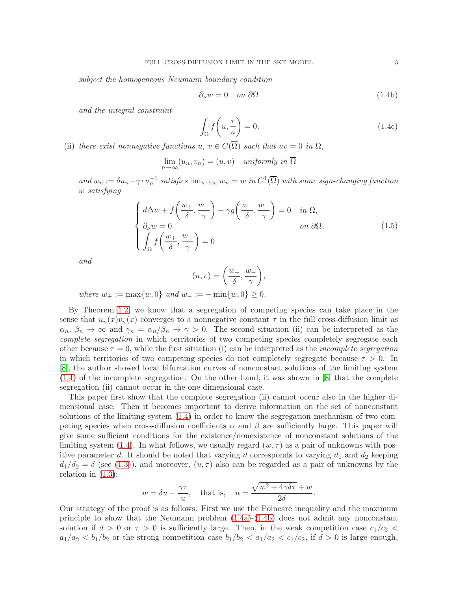subject the homogeneous Neumann boundary condition

<span id="page-2-0"></span>
$$
\partial_{\nu}w = 0 \quad on \ \partial\Omega \tag{1.4b}
$$

and the integral constraint

<span id="page-2-1"></span>
$$
\int_{\Omega} f\left(u, \frac{\tau}{u}\right) = 0; \tag{1.4c}
$$

(ii) there exist nonnegative functions u,  $v \in C(\Omega)$  such that  $uv = 0$  in  $\Omega$ ,

 $\lim_{n \to \infty} (u_n, v_n) = (u, v)$  uniformly in  $\Omega$ 

and  $w_n := \delta u_n - \gamma \tau u_n^{-1}$  satisfies  $\lim_{n\to\infty} w_n = w$  in  $C^1(\overline{\Omega})$  with some sign-changing function w satisfying

<span id="page-2-2"></span>
$$
\begin{cases}\n d\Delta w + f\left(\frac{w_+}{\delta}, \frac{w_-}{\gamma}\right) - \gamma g\left(\frac{w_+}{\delta}, \frac{w_-}{\gamma}\right) = 0 & \text{in } \Omega, \\
 \partial_\nu w = 0 & \text{on } \partial\Omega, \\
 \int_{\Omega} f\left(\frac{w_+}{\delta}, \frac{w_-}{\gamma}\right) = 0\n\end{cases}
$$
\n(1.5)

and

$$
(u,v) = \left(\frac{w_+}{\delta}, \frac{w_-}{\gamma}\right),
$$

where  $w_+ := \max\{w, 0\}$  and  $w_- := -\min\{w, 0\} \geq 0$ .

By Theorem [1.2,](#page-1-1) we know that a segregation of competing species can take place in the sense that  $u_n(x)v_n(x)$  converges to a nonnegative constant  $\tau$  in the full cross-diffusion limit as  $\alpha_n, \beta_n \to \infty$  and  $\gamma_n = \alpha_n/\beta_n \to \gamma > 0$ . The second situation (ii) can be interpreted as the complete segregation in which territories of two competing species completely segregate each other because  $\tau = 0$ , while the first situation (i) can be interpreted as the *incomplete segregation* in which territories of two competing species do not completely segregate because  $\tau > 0$ . In [\[8\]](#page-31-0), the author showed local bifurcation curves of nonconstant solutions of the limiting system [\(1.4\)](#page-1-2) of the incomplete segregation. On the other hand, it was shown in [\[8\]](#page-31-0) that the complete segregation (ii) cannot occur in the one-dimensional case.

This paper first show that the complete segregation (ii) cannot occur also in the higher dimensional case. Then it becomes important to derive information on the set of nonconstant solutions of the limiting system [\(1.4\)](#page-1-2) in order to know the segregation mechanism of two competing species when cross-diffusion coefficients  $\alpha$  and  $\beta$  are sufficiently large. This paper will give some sufficient conditions for the existence/nonexistence of nonconstant solutions of the limiting system [\(1.4\)](#page-1-2). In what follows, we usually regard  $(w, \tau)$  as a pair of unknowns with positive parameter d. It should be noted that varying d corresponds to varying  $d_1$  and  $d_2$  keeping  $d_1/d_2 = \delta$  (see [\(1.3\)](#page-1-3)), and moreover,  $(u, \tau)$  also can be regarded as a pair of unknowns by the relation in  $(1.3)$ ;

$$
w = \delta u - \frac{\gamma \tau}{u}
$$
, that is,  $u = \frac{\sqrt{w^2 + 4\gamma \delta \tau} + w}{2\delta}$ .

Our strategy of the proof is as follows: First we use the Poincaré inequality and the maximum principle to show that the Neumann problem [\(1.4a\)](#page-1-4)-[\(1.4b\)](#page-2-0) does not admit any nonconstant solution if  $d > 0$  or  $\tau > 0$  is sufficiently large. Then, in the weak competition case  $c_1/c_2 <$  $a_1/a_2 < b_1/b_2$  or the strong competition case  $b_1/b_2 < a_1/a_2 < c_1/c_2$ , if  $d > 0$  is large enough,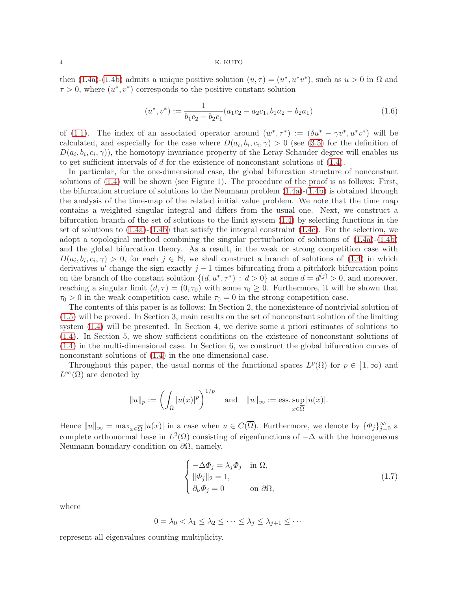then [\(1.4a\)](#page-1-4)-[\(1.4b\)](#page-2-0) admits a unique positive solution  $(u, \tau) = (u^*, u^*v^*)$ , such as  $u > 0$  in  $\Omega$  and  $\tau > 0$ , where  $(u^*, v^*)$  corresponds to the positive constant solution

<span id="page-3-0"></span>
$$
(u^*, v^*) := \frac{1}{b_1c_2 - b_2c_1} (a_1c_2 - a_2c_1, b_1a_2 - b_2a_1)
$$
\n(1.6)

of [\(1.1\)](#page-0-0). The index of an associated operator around  $(w^*, \tau^*) := (\delta u^* - \gamma v^*, u^* v^*)$  will be calculated, and especially for the case where  $D(a_i, b_i, c_i, \gamma) > 0$  (see [\(3.5\)](#page-6-0) for the definition of  $D(a_i, b_i, c_i, \gamma)$ , the homotopy invariance property of the Leray-Schauder degree will enables us to get sufficient intervals of  $d$  for the existence of nonconstant solutions of  $(1.4)$ .

In particular, for the one-dimensional case, the global bifurcation structure of nonconstant solutions of [\(1.4\)](#page-1-2) will be shown (see Figure 1). The procedure of the proof is as follows: First, the bifurcation structure of solutions to the Neumann problem  $(1.4a)-(1.4b)$  $(1.4a)-(1.4b)$  is obtained through the analysis of the time-map of the related initial value problem. We note that the time map contains a weighted singular integral and differs from the usual one. Next, we construct a bifurcation branch of the set of solutions to the limit system [\(1.4\)](#page-1-2) by selecting functions in the set of solutions to  $(1.4a)-(1.4b)$  $(1.4a)-(1.4b)$  that satisfy the integral constraint  $(1.4c)$ . For the selection, we adopt a topological method combining the singular perturbation of solutions of [\(1.4a\)](#page-1-4)-[\(1.4b\)](#page-2-0) and the global bifurcation theory. As a result, in the weak or strong competition case with  $D(a_i, b_i, c_i, \gamma) > 0$ , for each  $j \in \mathbb{N}$ , we shall construct a branch of solutions of [\(1.4\)](#page-1-2) in which derivatives u' change the sign exactly  $j-1$  times bifurcating from a pitchfork bifurcation point on the branch of the constant solution  $\{(d, u^*, \tau^*) : d > 0\}$  at some  $d = d^{(j)} > 0$ , and moreover, reaching a singular limit  $(d, \tau) = (0, \tau_0)$  with some  $\tau_0 \geq 0$ . Furthermore, it will be shown that  $\tau_0 > 0$  in the weak competition case, while  $\tau_0 = 0$  in the strong competition case.

The contents of this paper is as follows: In Section 2, the nonexistence of nontrivial solution of [\(1.5\)](#page-2-2) will be proved. In Section 3, main results on the set of nonconstant solution of the limiting system [\(1.4\)](#page-1-2) will be presented. In Section 4, we derive some a priori estimates of solutions to [\(1.4\)](#page-1-2). In Section 5, we show sufficient conditions on the existence of nonconstant solutions of [\(1.4\)](#page-1-2) in the multi-dimensional case. In Section 6, we construct the global bifurcation curves of nonconstant solutions of [\(1.4\)](#page-1-2) in the one-dimensional case.

Throughout this paper, the usual norms of the functional spaces  $L^p(\Omega)$  for  $p \in [1,\infty)$  and  $L^{\infty}(\Omega)$  are denoted by

$$
||u||_p := \left(\int_{\Omega} |u(x)|^p\right)^{1/p}
$$
 and  $||u||_{\infty} := \text{ess.} \sup_{x \in \overline{\Omega}} |u(x)|$ .

Hence  $||u||_{\infty} = \max_{x \in \overline{\Omega}} |u(x)|$  in a case when  $u \in C(\overline{\Omega})$ . Furthermore, we denote by  $\{\Phi_j\}_{j=0}^{\infty}$  a complete orthonormal base in  $L^2(\Omega)$  consisting of eigenfunctions of  $-\Delta$  with the homogeneous Neumann boundary condition on  $\partial\Omega$ , namely,

<span id="page-3-1"></span>
$$
\begin{cases}\n-\Delta \Phi_j = \lambda_j \Phi_j & \text{in } \Omega, \\
\|\Phi_j\|_2 = 1, \\
\partial_\nu \Phi_j = 0 & \text{on } \partial \Omega,\n\end{cases}
$$
\n(1.7)

where

$$
0 = \lambda_0 < \lambda_1 \leq \lambda_2 \leq \cdots \leq \lambda_j \leq \lambda_{j+1} \leq \cdots
$$

represent all eigenvalues counting multiplicity.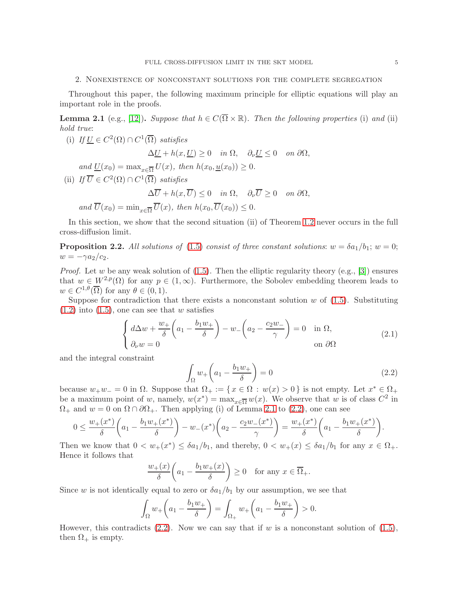# 2. Nonexistence of nonconstant solutions for the complete segregation

Throughout this paper, the following maximum principle for elliptic equations will play an important role in the proofs.

<span id="page-4-0"></span>**Lemma 2.1** (e.g., [\[12\]](#page-31-7)). Suppose that  $h \in C(\overline{\Omega} \times \mathbb{R})$ . Then the following properties (i) and (ii) hold true:

(i) If  $\underline{U} \in C^2(\Omega) \cap C^1(\overline{\Omega})$  satisfies  $\Delta U + h(x, U) \geq 0$  in  $\Omega$ ,  $\partial_{\nu} U \leq 0$  on  $\partial \Omega$ , and  $\underline{U}(x_0) = \max_{x \in \overline{\Omega}} U(x)$ , then  $h(x_0, \underline{u}(x_0)) \geq 0$ . (ii) If  $\overline{U} \in C^2(\Omega) \cap C^1(\overline{\Omega})$  satisfies  $\Delta \overline{U} + h(x, \overline{U}) \leq 0$  in  $\Omega$ ,  $\partial_{\nu} \overline{U} \geq 0$  on  $\partial \Omega$ , and  $\overline{U}(x_0) = \min_{x \in \overline{O}} \overline{U}(x)$ , then  $h(x_0, \overline{U}(x_0)) \leq 0$ .

In this section, we show that the second situation (ii) of Theorem [1.2](#page-1-1) never occurs in the full cross-diffusion limit.

<span id="page-4-3"></span>**Proposition 2.2.** All solutions of [\(1.5\)](#page-2-2) consist of three constant solutions:  $w = \delta a_1/b_1$ ;  $w = 0$ ;  $w = -\gamma a_2/c_2.$ 

*Proof.* Let w be any weak solution of  $(1.5)$ . Then the elliptic regularity theory  $(e.g., [3])$  $(e.g., [3])$  $(e.g., [3])$  ensures that  $w \in W^{2,p}(\Omega)$  for any  $p \in (1,\infty)$ . Furthermore, the Sobolev embedding theorem leads to  $w \in C^{1,\theta}(\overline{\Omega})$  for any  $\theta \in (0,1)$ .

Suppose for contradiction that there exists a nonconstant solution  $w$  of  $(1.5)$ . Substituting  $(1.2)$  into  $(1.5)$ , one can see that w satisfies

<span id="page-4-2"></span>
$$
\begin{cases} d\Delta w + \frac{w_+}{\delta} \left( a_1 - \frac{b_1 w_+}{\delta} \right) - w_- \left( a_2 - \frac{c_2 w_-}{\gamma} \right) = 0 & \text{in } \Omega, \\ \partial_\nu w = 0 & \text{on } \partial\Omega \end{cases}
$$
(2.1)

and the integral constraint

<span id="page-4-1"></span>
$$
\int_{\Omega} w_{+}\left(a_{1}-\frac{b_{1}w_{+}}{\delta}\right) = 0\tag{2.2}
$$

because  $w_+w_-=0$  in  $\Omega$ . Suppose that  $\Omega_+ := \{ x \in \Omega : w(x) > 0 \}$  is not empty. Let  $x^* \in \Omega_+$ be a maximum point of w, namely,  $w(x^*) = \max_{x \in \overline{\Omega}} w(x)$ . We observe that w is of class  $C^2$  in  $\Omega_+$  and  $w = 0$  on  $\Omega \cap \partial \Omega_+$ . Then applying (i) of Lemma [2.1](#page-4-0) to [\(2.2\)](#page-4-1), one can see

$$
0 \le \frac{w_+(x^*)}{\delta} \bigg( a_1 - \frac{b_1 w_+(x^*)}{\delta} \bigg) - w_-(x^*) \bigg( a_2 - \frac{c_2 w_-(x^*)}{\gamma} \bigg) = \frac{w_+(x^*)}{\delta} \bigg( a_1 - \frac{b_1 w_+(x^*)}{\delta} \bigg).
$$

Then we know that  $0 < w_+(x^*) \leq \delta a_1/b_1$ , and thereby,  $0 < w_+(x) \leq \delta a_1/b_1$  for any  $x \in \Omega_+$ . Hence it follows that

$$
\frac{w_+(x)}{\delta} \bigg( a_1 - \frac{b_1 w_+(x)}{\delta} \bigg) \ge 0 \quad \text{for any } x \in \overline{\Omega}_+.
$$

Since w is not identically equal to zero or  $\delta a_1/b_1$  by our assumption, we see that

$$
\int_{\Omega} w_+\left(a_1 - \frac{b_1w_+}{\delta}\right) = \int_{\Omega_+} w_+\left(a_1 - \frac{b_1w_+}{\delta}\right) > 0.
$$

However, this contradicts [\(2.2\)](#page-4-1). Now we can say that if w is a nonconstant solution of [\(1.5\)](#page-2-2), then  $\Omega_+$  is empty.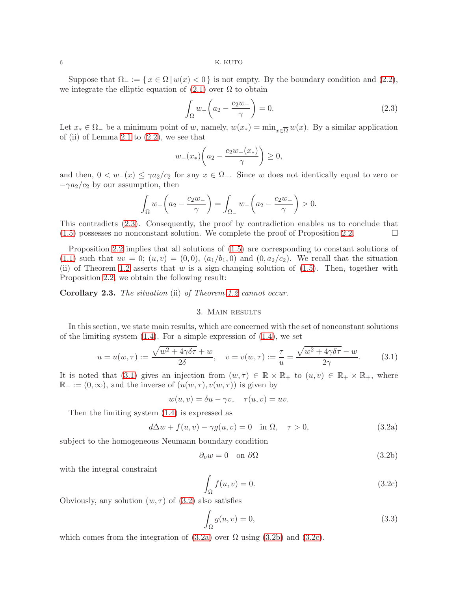Suppose that  $\Omega_{-} := \{x \in \Omega \mid w(x) < 0\}$  is not empty. By the boundary condition and [\(2.2\)](#page-4-1), we integrate the elliptic equation of  $(2.1)$  over  $\Omega$  to obtain

<span id="page-5-0"></span>
$$
\int_{\Omega} w_{-}\left(a_{2} - \frac{c_{2}w_{-}}{\gamma}\right) = 0.
$$
\n(2.3)

Let  $x_* \in \Omega$  be a minimum point of w, namely,  $w(x_*) = \min_{x \in \overline{\Omega}} w(x)$ . By a similar application of (ii) of Lemma [2.1](#page-4-0) to  $(2.2)$ , we see that

$$
w_-(x_*)\left(a_2 - \frac{c_2w_-(x_*)}{\gamma}\right) \ge 0,
$$

and then,  $0 < w_-(x) \leq \gamma a_2/c_2$  for any  $x \in \Omega$ . Since w does not identically equal to zero or  $-\gamma a_2/c_2$  by our assumption, then

$$
\int_{\Omega} w_{-}\left(a_2 - \frac{c_2 w_{-}}{\gamma}\right) = \int_{\Omega_{-}} w_{-}\left(a_2 - \frac{c_2 w_{-}}{\gamma}\right) > 0.
$$

This contradicts [\(2.3\)](#page-5-0). Consequently, the proof by contradiction enables us to conclude that  $(1.5)$  possesses no nonconstant solution. We complete the proof of Proposition [2.2.](#page-4-3)

Proposition [2.2](#page-4-3) implies that all solutions of [\(1.5\)](#page-2-2) are corresponding to constant solutions of [\(1.1\)](#page-0-0) such that  $uv = 0$ ;  $(u, v) = (0, 0)$ ,  $(a_1/b_1, 0)$  and  $(0, a_2/c_2)$ . We recall that the situation (ii) of Theorem [1.2](#page-1-1) asserts that w is a sign-changing solution of  $(1.5)$ . Then, together with Proposition [2.2,](#page-4-3) we obtain the following result:

Corollary 2.3. The situation (ii) of Theorem [1.2](#page-1-1) cannot occur.

# 3. Main results

In this section, we state main results, which are concerned with the set of nonconstant solutions of the limiting system  $(1.4)$ . For a simple expression of  $(1.4)$ , we set

<span id="page-5-1"></span>
$$
u = u(w, \tau) := \frac{\sqrt{w^2 + 4\gamma\delta\tau} + w}{2\delta}, \quad v = v(w, \tau) := \frac{\tau}{u} = \frac{\sqrt{w^2 + 4\gamma\delta\tau} - w}{2\gamma}.
$$
 (3.1)

It is noted that [\(3.1\)](#page-5-1) gives an injection from  $(w, \tau) \in \mathbb{R} \times \mathbb{R}_+$  to  $(u, v) \in \mathbb{R}_+ \times \mathbb{R}_+$ , where  $\mathbb{R}_+ := (0, \infty)$ , and the inverse of  $(u(w, \tau), v(w, \tau))$  is given by

$$
w(u, v) = \delta u - \gamma v, \quad \tau(u, v) = uv.
$$

Then the limiting system [\(1.4\)](#page-1-2) is expressed as

<span id="page-5-3"></span>
$$
d\Delta w + f(u, v) - \gamma g(u, v) = 0 \quad \text{in } \Omega, \quad \tau > 0,
$$
\n(3.2a)

subject to the homogeneous Neumann boundary condition

<span id="page-5-4"></span><span id="page-5-2"></span>
$$
\partial_{\nu}w = 0 \quad \text{on } \partial\Omega \tag{3.2b}
$$

with the integral constraint

<span id="page-5-5"></span>
$$
\int_{\Omega} f(u, v) = 0. \tag{3.2c}
$$

Obviously, any solution  $(w, \tau)$  of  $(3.2)$  also satisfies

<span id="page-5-6"></span>
$$
\int_{\Omega} g(u, v) = 0,\tag{3.3}
$$

which comes from the integration of  $(3.2a)$  over  $\Omega$  using  $(3.2b)$  and  $(3.2c)$ .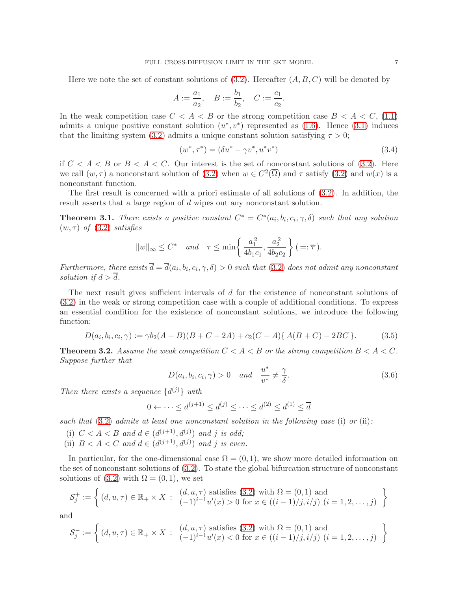Here we note the set of constant solutions of  $(3.2)$ . Hereafter  $(A, B, C)$  will be denoted by

$$
A := \frac{a_1}{a_2}, \quad B := \frac{b_1}{b_2}, \quad C := \frac{c_1}{c_2}.
$$

In the weak competition case  $C < A < B$  or the strong competition case  $B < A < C$ , [\(1.1\)](#page-0-0) admits a unique positive constant solution  $(u^*, v^*)$  represented as  $(1.6)$ . Hence  $(3.1)$  induces that the limiting system [\(3.2\)](#page-5-2) admits a unique constant solution satisfying  $\tau > 0$ ;

<span id="page-6-2"></span>
$$
(w^*, \tau^*) = (\delta u^* - \gamma v^*, u^* v^*)
$$
\n(3.4)

if  $C < A < B$  or  $B < A < C$ . Our interest is the set of nonconstant solutions of [\(3.2\)](#page-5-2). Here we call  $(w, \tau)$  a nonconstant solution of  $(3.2)$  when  $w \in C^2(\overline{\Omega})$  and  $\tau$  satisfy  $(3.2)$  and  $w(x)$  is a nonconstant function.

The first result is concerned with a priori estimate of all solutions of [\(3.2\)](#page-5-2). In addition, the result asserts that a large region of d wipes out any nonconstant solution.

<span id="page-6-1"></span>**Theorem 3.1.** There exists a positive constant  $C^* = C^*(a_i, b_i, c_i, \gamma, \delta)$  such that any solution  $(w, \tau)$  of  $(3.2)$  satisfies

$$
||w||_{\infty} \leq C^*
$$
 and  $\tau \leq \min\left\{\frac{a_1^2}{4b_1c_1}, \frac{a_2^2}{4b_2c_2}\right\} (=:\overline{\tau}).$ 

Furthermore, there exists  $d = d(a_i, b_i, c_i, \gamma, \delta) > 0$  such that  $(3.2)$  does not admit any nonconstant solution if  $d > \overline{d}$ .

The next result gives sufficient intervals of d for the existence of nonconstant solutions of [\(3.2\)](#page-5-2) in the weak or strong competition case with a couple of additional conditions. To express an essential condition for the existence of nonconstant solutions, we introduce the following function:

<span id="page-6-0"></span>
$$
D(a_i, b_i, c_i, \gamma) := \gamma b_2 (A - B)(B + C - 2A) + c_2 (C - A) \{ A(B + C) - 2BC \}.
$$
 (3.5)

<span id="page-6-3"></span>**Theorem 3.2.** Assume the weak competition  $C < A < B$  or the strong competition  $B < A < C$ . Suppose further that

<span id="page-6-4"></span>
$$
D(a_i, b_i, c_i, \gamma) > 0 \quad and \quad \frac{u^*}{v^*} \neq \frac{\gamma}{\delta}.
$$
 (3.6)

Then there exists a sequence  $\{d^{(j)}\}\$  with

$$
0 \leftarrow \dots \le d^{(j+1)} \le d^{(j)} \le \dots \le d^{(2)} \le d^{(1)} \le \overline{d}
$$

such that  $(3.2)$  admits at least one nonconstant solution in the following case  $(i)$  or  $(ii)$ :

- (i)  $C < A < B$  and  $d \in (d^{(j+1)}, d^{(j)})$  and j is odd;
- (ii)  $B < A < C$  and  $d \in (d^{(j+1)}, d^{(j)})$  and j is even.

In particular, for the one-dimensional case  $\Omega = (0, 1)$ , we show more detailed information on the set of nonconstant solutions of [\(3.2\)](#page-5-2). To state the global bifurcation structure of nonconstant solutions of  $(3.2)$  with  $\Omega = (0, 1)$ , we set

$$
\mathcal{S}_j^+ := \left\{ (d, u, \tau) \in \mathbb{R}_+ \times X : \begin{array}{l} (d, u, \tau) \text{ satisfies (3.2) with } \Omega = (0, 1) \text{ and} \\ (-1)^{i-1} u'(x) > 0 \text{ for } x \in ((i-1)/j, i/j) \ (i = 1, 2, \dots, j) \end{array} \right\}
$$

and

$$
\mathcal{S}_j^- := \left\{ (d, u, \tau) \in \mathbb{R}_+ \times X : \begin{array}{l} (d, u, \tau) \text{ satisfies (3.2) with } \Omega = (0, 1) \text{ and} \\ (-1)^{i-1} u'(x) < 0 \text{ for } x \in ((i-1)/j, i/j) \ (i = 1, 2, \dots, j) \end{array} \right\}
$$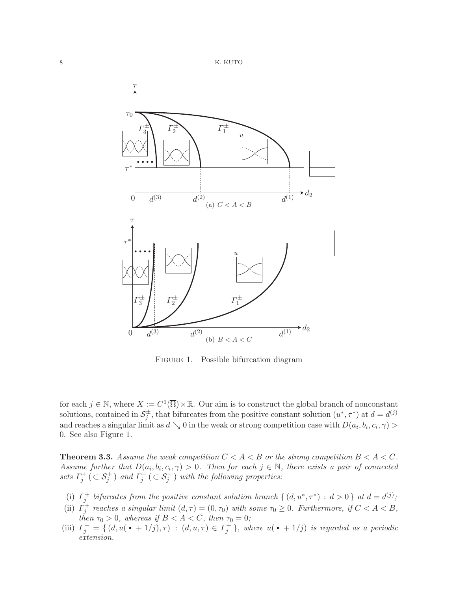



FIGURE 1. Possible bifurcation diagram

for each  $j \in \mathbb{N}$ , where  $X := C^1(\overline{\Omega}) \times \mathbb{R}$ . Our aim is to construct the global branch of nonconstant solutions, contained in  $S_j^{\pm}$ , that bifurcates from the positive constant solution  $(u^*, \tau^*)$  at  $d = d^{(j)}$ and reaches a singular limit as  $d \searrow 0$  in the weak or strong competition case with  $D(a_i, b_i, c_i, \gamma) >$ 0. See also Figure 1.

<span id="page-7-0"></span>**Theorem 3.3.** Assume the weak competition  $C < A < B$  or the strong competition  $B < A < C$ . Assume further that  $D(a_i, b_i, c_i, \gamma) > 0$ . Then for each  $j \in \mathbb{N}$ , there exists a pair of connected sets  $\Gamma_j^+$  ( $\subset \mathcal{S}_j^+$ ) and  $\Gamma_j^-$  ( $\subset \mathcal{S}_j^-$ ) with the following properties:

- (i)  $\Gamma_j^+$  bifurcates from the positive constant solution branch  $\{(d, u^*, \tau^*) : d > 0\}$  at  $d = d^{(j)}$ ;
- (ii)  $\Gamma_j^+$  reaches a singular limit  $(d, \tau) = (0, \tau_0)$  with some  $\tau_0 \geq 0$ . Furthermore, if  $C < A < B$ , then  $\tau_0 > 0$ , whereas if  $B < A < C$ , then  $\tau_0 = 0$ ;
- (iii)  $\Gamma_j^- = \{ (d, u(\bullet + 1/j), \tau) : (d, u, \tau) \in \Gamma_j^+ \}$ , where  $u(\bullet + 1/j)$  is regarded as a periodic *extension*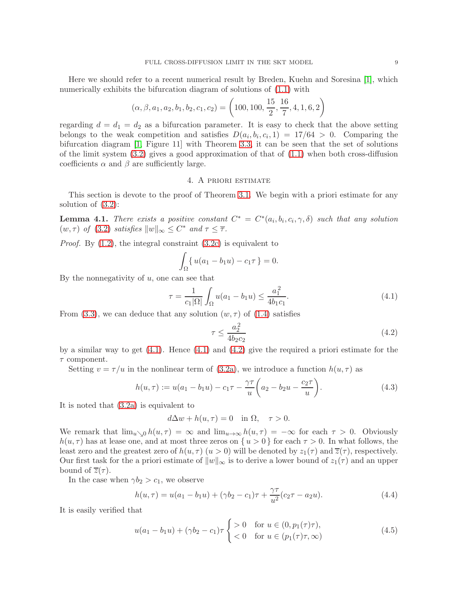Here we should refer to a recent numerical result by Breden, Kuehn and Soresina [\[1\]](#page-30-0), which numerically exhibits the bifurcation diagram of solutions of [\(1.1\)](#page-0-0) with

$$
(\alpha, \beta, a_1, a_2, b_1, b_2, c_1, c_2) = \left(100, 100, \frac{15}{2}, \frac{16}{7}, 4, 1, 6, 2\right)
$$

regarding  $d = d_1 = d_2$  as a bifurcation parameter. It is easy to check that the above setting belongs to the weak competition and satisfies  $D(a_i, b_i, c_i, 1) = 17/64 > 0$ . Comparing the bifurcation diagram [\[1,](#page-30-0) Figure 11] with Theorem [3.3,](#page-7-0) it can be seen that the set of solutions of the limit system  $(3.2)$  gives a good approximation of that of  $(1.1)$  when both cross-diffusion coefficients  $\alpha$  and  $\beta$  are sufficiently large.

## 4. A priori estimate

This section is devote to the proof of Theorem [3.1.](#page-6-1) We begin with a priori estimate for any solution of [\(3.2\)](#page-5-2):

<span id="page-8-3"></span>**Lemma 4.1.** There exists a positive constant  $C^* = C^*(a_i, b_i, c_i, \gamma, \delta)$  such that any solution  $(w, \tau)$  of [\(3.2\)](#page-5-2) satisfies  $||w||_{\infty} \leq C^*$  and  $\tau \leq \overline{\tau}$ .

*Proof.* By  $(1.2)$ , the integral constraint  $(3.2c)$  is equivalent to

$$
\int_{\Omega} \{ u(a_1 - b_1 u) - c_1 \tau \} = 0.
$$

By the nonnegativity of  $u$ , one can see that

<span id="page-8-0"></span>
$$
\tau = \frac{1}{c_1 |\Omega|} \int_{\Omega} u(a_1 - b_1 u) \le \frac{a_1^2}{4b_1 c_1}.
$$
\n(4.1)

From [\(3.3\)](#page-5-6), we can deduce that any solution  $(w, \tau)$  of [\(1.4\)](#page-1-2) satisfies

<span id="page-8-1"></span>
$$
\tau \le \frac{a_2^2}{4b_2c_2} \tag{4.2}
$$

by a similar way to get  $(4.1)$ . Hence  $(4.1)$  and  $(4.2)$  give the required a priori estimate for the  $\tau$  component.

Setting  $v = \tau/u$  in the nonlinear term of [\(3.2a\)](#page-5-3), we introduce a function  $h(u, \tau)$  as

<span id="page-8-4"></span>
$$
h(u,\tau) := u(a_1 - b_1 u) - c_1 \tau - \frac{\gamma \tau}{u} \left( a_2 - b_2 u - \frac{c_2 \tau}{u} \right).
$$
 (4.3)

It is noted that [\(3.2a\)](#page-5-3) is equivalent to

$$
d\Delta w + h(u, \tau) = 0 \quad \text{in } \Omega, \quad \tau > 0.
$$

We remark that  $\lim_{u\to 0} h(u,\tau) = \infty$  and  $\lim_{u\to\infty} h(u,\tau) = -\infty$  for each  $\tau > 0$ . Obviously  $h(u, \tau)$  has at lease one, and at most three zeros on  $\{u > 0\}$  for each  $\tau > 0$ . In what follows, the least zero and the greatest zero of  $h(u, \tau)$   $(u > 0)$  will be denoted by  $z_1(\tau)$  and  $\overline{z}(\tau)$ , respectively. Our first task for the a priori estimate of  $||w||_{\infty}$  is to derive a lower bound of  $z_1(\tau)$  and an upper bound of  $\overline{z}(\tau)$ .

In the case when  $\gamma b_2 > c_1$ , we observe

<span id="page-8-2"></span>
$$
h(u,\tau) = u(a_1 - b_1u) + (\gamma b_2 - c_1)\tau + \frac{\gamma \tau}{u^2}(c_2\tau - a_2u). \tag{4.4}
$$

It is easily verified that

$$
u(a_1 - b_1 u) + (\gamma b_2 - c_1)\tau \begin{cases} > 0 & \text{for } u \in (0, p_1(\tau)\tau), \\ < 0 & \text{for } u \in (p_1(\tau)\tau, \infty) \end{cases}
$$
(4.5)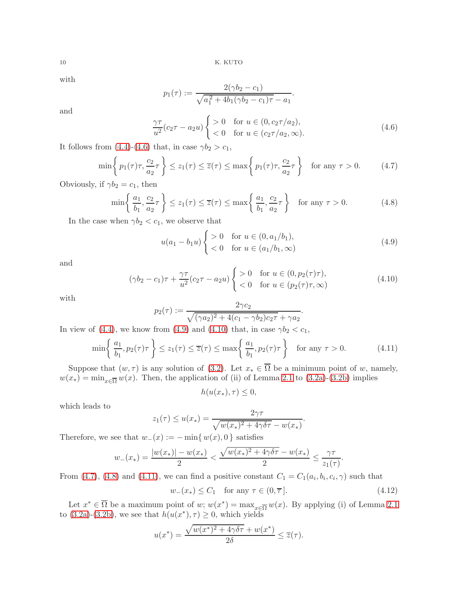with

$$
p_1(\tau) := \frac{2(\gamma b_2 - c_1)}{\sqrt{a_1^2 + 4b_1(\gamma b_2 - c_1)\tau} - a_1}.
$$

and

<span id="page-9-0"></span>
$$
\frac{\gamma \tau}{u^2} (c_2 \tau - a_2 u) \begin{cases} > 0 & \text{for } u \in (0, c_2 \tau / a_2), \\ < 0 & \text{for } u \in (c_2 \tau / a_2, \infty). \end{cases}
$$
(4.6)

It follows from [\(4.4\)](#page-8-2)-[\(4.6\)](#page-9-0) that, in case  $\gamma b_2 > c_1$ ,

<span id="page-9-3"></span>
$$
\min\left\{p_1(\tau)\tau, \frac{c_2}{a_2}\tau\right\} \le z_1(\tau) \le \overline{z}(\tau) \le \max\left\{p_1(\tau)\tau, \frac{c_2}{a_2}\tau\right\} \quad \text{for any } \tau > 0. \tag{4.7}
$$

Obviously, if  $\gamma b_2 = c_1$ , then

<span id="page-9-4"></span>
$$
\min\left\{\frac{a_1}{b_1}, \frac{c_2}{a_2}\tau\right\} \le z_1(\tau) \le \overline{z}(\tau) \le \max\left\{\frac{a_1}{b_1}, \frac{c_2}{a_2}\tau\right\} \quad \text{for any } \tau > 0. \tag{4.8}
$$

In the case when  $\gamma b_2 < c_1$ , we observe that

<span id="page-9-1"></span>
$$
u(a_1 - b_1 u) \begin{cases} > 0 & \text{for } u \in (0, a_1/b_1), \\ < 0 & \text{for } u \in (a_1/b_1, \infty) \end{cases}
$$
(4.9)

.

.

and

<span id="page-9-2"></span>
$$
(\gamma b_2 - c_1)\tau + \frac{\gamma \tau}{u^2}(c_2 \tau - a_2 u) \begin{cases} > 0 & \text{for } u \in (0, p_2(\tau)\tau), \\ < 0 & \text{for } u \in (p_2(\tau)\tau, \infty) \end{cases} \tag{4.10}
$$

with

$$
p_2(\tau) := \frac{2\gamma c_2}{\sqrt{(\gamma a_2)^2 + 4(c_1 - \gamma b_2)c_2\tau} + \gamma a_2}
$$

In view of [\(4.4\)](#page-8-2), we know from [\(4.9\)](#page-9-1) and [\(4.10\)](#page-9-2) that, in case  $\gamma b_2 < c_1$ ,

<span id="page-9-5"></span>
$$
\min\left\{\frac{a_1}{b_1}, p_2(\tau)\tau\right\} \le z_1(\tau) \le \overline{z}(\tau) \le \max\left\{\frac{a_1}{b_1}, p_2(\tau)\tau\right\} \quad \text{for any } \tau > 0. \tag{4.11}
$$

Suppose that  $(w, \tau)$  is any solution of [\(3.2\)](#page-5-2). Let  $x_* \in \Omega$  be a minimum point of w, namely,  $w(x_*) = \min_{x \in \overline{\Omega}} w(x)$ . Then, the application of (ii) of Lemma [2.1](#page-4-0) to [\(3.2a\)](#page-5-3)-[\(3.2b\)](#page-5-4) implies

$$
h(u(x_*),\tau) \leq 0,
$$

which leads to

$$
z_1(\tau) \le u(x_*) = \frac{2\gamma\tau}{\sqrt{w(x_*)^2 + 4\gamma\delta\tau} - w(x_*)}
$$

Therefore, we see that  $w_-(x) := -\min\{w(x), 0\}$  satisfies

$$
w_{-}(x_{*}) = \frac{|w(x_{*})| - w(x_{*})}{2} < \frac{\sqrt{w(x_{*})^{2} + 4\gamma\delta\tau} - w(x_{*})}{2} \le \frac{\gamma\tau}{z_{1}(\tau)}.
$$

From [\(4.7\)](#page-9-3), [\(4.8\)](#page-9-4) and [\(4.11\)](#page-9-5), we can find a positive constant  $C_1 = C_1(a_i, b_i, c_i, \gamma)$  such that

<span id="page-9-6"></span>
$$
w_{-}(x_{*}) \le C_{1} \quad \text{for any } \tau \in (0, \overline{\tau}]. \tag{4.12}
$$

Let  $x^* \in \overline{\Omega}$  be a maximum point of w;  $w(x^*) = \max_{x \in \overline{\Omega}} w(x)$ . By applying (i) of Lemma [2.1](#page-4-0) to [\(3.2a\)](#page-5-3)-[\(3.2b\)](#page-5-4), we see that  $h(u(x^*), \tau) \geq 0$ , which yields

$$
u(x^*) = \frac{\sqrt{w(x^*)^2 + 4\gamma\delta\tau} + w(x^*)}{2\delta} \le \overline{z}(\tau).
$$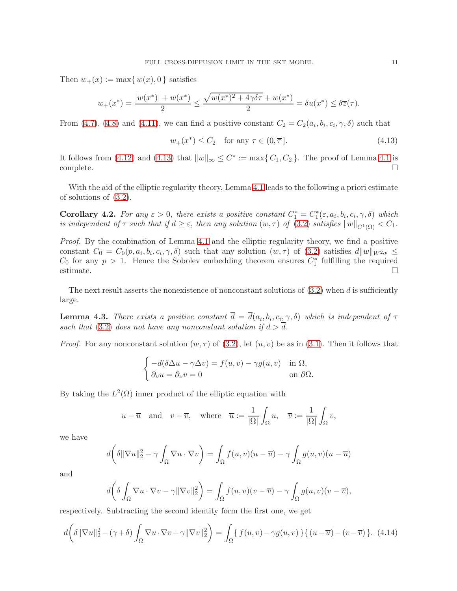Then  $w_+(x) := \max\{w(x), 0\}$  satisfies

$$
w_+(x^*) = \frac{|w(x^*)| + w(x^*)}{2} \le \frac{\sqrt{w(x^*)^2 + 4\gamma\delta\tau} + w(x^*)}{2} = \delta u(x^*) \le \delta \overline{z}(\tau).
$$

From [\(4.7\)](#page-9-3), [\(4.8\)](#page-9-4) and [\(4.11\)](#page-9-5), we can find a positive constant  $C_2 = C_2(a_i, b_i, c_i, \gamma, \delta)$  such that

<span id="page-10-0"></span>
$$
w_{+}(x^{*}) \le C_{2} \quad \text{for any } \tau \in (0, \overline{\tau}]. \tag{4.13}
$$

It follows from [\(4.12\)](#page-9-6) and [\(4.13\)](#page-10-0) that  $||w||_{\infty} \leq C^* := \max\{C_1, C_2\}$ . The proof of Lemma [4.1](#page-8-3) is  $\Box$ complete.  $\Box$ 

With the aid of the elliptic regularity theory, Lemma [4.1](#page-8-3) leads to the following a priori estimate of solutions of [\(3.2\)](#page-5-2).

<span id="page-10-3"></span>**Corollary 4.2.** For any  $\varepsilon > 0$ , there exists a positive constant  $C_1^* = C_1^*(\varepsilon, a_i, b_i, c_i, \gamma, \delta)$  which is independent of  $\tau$  such that if  $d \geq \varepsilon$ , then any solution  $(w, \tau)$  of  $(3.2)$  satisfies  $||w||_{C^1(\overline{\Omega})} < C_1$ .

Proof. By the combination of Lemma [4.1](#page-8-3) and the elliptic regularity theory, we find a positive constant  $C_0 = C_0(p, a_i, b_i, c_i, \gamma, \delta)$  such that any solution  $(w, \tau)$  of  $(3.2)$  satisfies  $d||w||_{W^{2,p}} \leq$  $C_0$  for any  $p > 1$ . Hence the Sobolev embedding theorem ensures  $C_1^*$  fulfilling the required estimate.  $\Box$ 

The next result asserts the nonexistence of nonconstant solutions of  $(3.2)$  when d is sufficiently large.

<span id="page-10-2"></span>**Lemma 4.3.** There exists a positive constant  $d = d(a_i, b_i, c_i, \gamma, \delta)$  which is independent of  $\tau$ such that [\(3.2\)](#page-5-2) does not have any nonconstant solution if  $d > \overline{d}$ .

*Proof.* For any nonconstant solution  $(w, \tau)$  of [\(3.2\)](#page-5-2), let  $(u, v)$  be as in [\(3.1\)](#page-5-1). Then it follows that

$$
\begin{cases}\n-d(\delta \Delta u - \gamma \Delta v) = f(u, v) - \gamma g(u, v) & \text{in } \Omega, \\
\partial_{\nu} u = \partial_{\nu} v = 0 & \text{on } \partial \Omega.\n\end{cases}
$$

By taking the  $L^2(\Omega)$  inner product of the elliptic equation with

$$
u - \overline{u}
$$
 and  $v - \overline{v}$ , where  $\overline{u} := \frac{1}{|\Omega|} \int_{\Omega} u$ ,  $\overline{v} := \frac{1}{|\Omega|} \int_{\Omega} v$ ,

we have

$$
d\left(\delta\|\nabla u\|_2^2 - \gamma \int_{\Omega} \nabla u \cdot \nabla v\right) = \int_{\Omega} f(u,v)(u - \overline{u}) - \gamma \int_{\Omega} g(u,v)(u - \overline{u})
$$

and

$$
d\left(\delta\int_{\Omega}\nabla u\cdot\nabla v-\gamma\|\nabla v\|_2^2\right)=\int_{\Omega}f(u,v)(v-\overline{v})-\gamma\int_{\Omega}g(u,v)(v-\overline{v}),
$$

respectively. Subtracting the second identity form the first one, we get

<span id="page-10-1"></span>
$$
d\left(\delta\|\nabla u\|_{2}^{2}-(\gamma+\delta)\int_{\Omega}\nabla u\cdot\nabla v+\gamma\|\nabla v\|_{2}^{2}\right)=\int_{\Omega}\left\{f(u,v)-\gamma g(u,v)\right\}\left\{(u-\overline{u})-(v-\overline{v})\right\}.\tag{4.14}
$$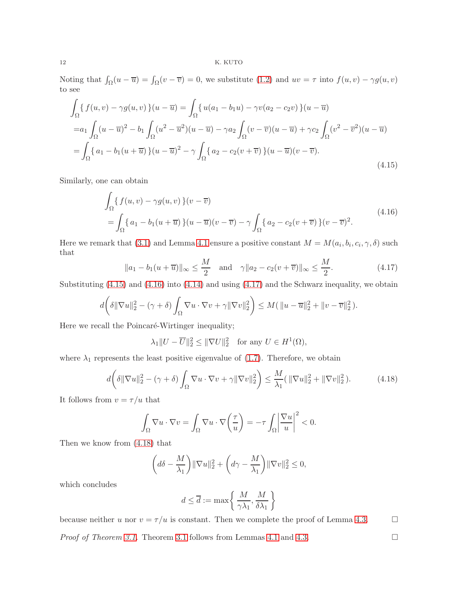Noting that  $\int_{\Omega}(u - \overline{u}) = \int_{\Omega}(v - \overline{v}) = 0$ , we substitute [\(1.2\)](#page-0-1) and  $uv = \tau$  into  $f(u, v) - \gamma g(u, v)$ to see

<span id="page-11-0"></span>
$$
\int_{\Omega} \{f(u,v) - \gamma g(u,v)\}(u - \overline{u}) = \int_{\Omega} \{u(a_1 - b_1 u) - \gamma v(a_2 - c_2 v)\}(u - \overline{u})
$$
  
\n=  $a_1 \int_{\Omega} (u - \overline{u})^2 - b_1 \int_{\Omega} (u^2 - \overline{u}^2)(u - \overline{u}) - \gamma a_2 \int_{\Omega} (v - \overline{v})(u - \overline{u}) + \gamma c_2 \int_{\Omega} (v^2 - \overline{v}^2)(u - \overline{u})$   
\n=  $\int_{\Omega} \{a_1 - b_1(u + \overline{u})\}(u - \overline{u})^2 - \gamma \int_{\Omega} \{a_2 - c_2(v + \overline{v})\}(u - \overline{u})(v - \overline{v}).$ \n(4.15)

<span id="page-11-1"></span>Similarly, one can obtain

$$
\int_{\Omega} \{ f(u,v) - \gamma g(u,v) \} (v - \overline{v})
$$
\n
$$
= \int_{\Omega} \{ a_1 - b_1(u + \overline{u}) \} (u - \overline{u})(v - \overline{v}) - \gamma \int_{\Omega} \{ a_2 - c_2(v + \overline{v}) \} (v - \overline{v})^2.
$$
\n
$$
(4.16)
$$

Here we remark that [\(3.1\)](#page-5-1) and Lemma [4.1](#page-8-3) ensure a positive constant  $M = M(a_i, b_i, c_i, \gamma, \delta)$  such that

<span id="page-11-2"></span>
$$
||a_1 - b_1(u + \overline{u})||_{\infty} \le \frac{M}{2}
$$
 and  $\gamma ||a_2 - c_2(v + \overline{v})||_{\infty} \le \frac{M}{2}$ . (4.17)

Substituting  $(4.15)$  and  $(4.16)$  into  $(4.14)$  and using  $(4.17)$  and the Schwarz inequality, we obtain

$$
d\bigg(\delta\|\nabla u\|_2^2-(\gamma+\delta)\int_{\Omega}\nabla u\cdot\nabla v+\gamma\|\nabla v\|_2^2\bigg)\leq M(\|u-\overline{u}\|_2^2+\|v-\overline{v}\|_2^2).
$$

Here we recall the Poincaré-Wirtinger inequality;

 $\lambda_1 \|U - \overline{U}\|_2^2 \leq \|\nabla U\|_2^2$  for any  $U \in H^1(\Omega)$ ,

where  $\lambda_1$  represents the least positive eigenvalue of [\(1.7\)](#page-3-1). Therefore, we obtain

<span id="page-11-3"></span>
$$
d\left(\delta\|\nabla u\|_2^2 - (\gamma + \delta)\int_{\Omega}\nabla u \cdot \nabla v + \gamma\|\nabla v\|_2^2\right) \le \frac{M}{\lambda_1}(\|\nabla u\|_2^2 + \|\nabla v\|_2^2). \tag{4.18}
$$

It follows from  $v=\tau/u$  that

$$
\int_{\Omega} \nabla u \cdot \nabla v = \int_{\Omega} \nabla u \cdot \nabla \left(\frac{\tau}{u}\right) = -\tau \int_{\Omega} \left|\frac{\nabla u}{u}\right|^2 < 0.
$$

Then we know from [\(4.18\)](#page-11-3) that

$$
\left(d\delta - \frac{M}{\lambda_1}\right) \|\nabla u\|_2^2 + \left(d\gamma - \frac{M}{\lambda_1}\right) \|\nabla v\|_2^2 \le 0,
$$

which concludes

$$
d \leq \overline{d} := \max \left\{\, \frac{M}{\gamma \lambda_1}, \frac{M}{\delta \lambda_1} \,\right\}
$$

because neither u nor  $v = \tau/u$  is constant. Then we complete the proof of Lemma [4.3.](#page-10-2)  $\Box$ *Proof of Theorem [3.1.](#page-6-1)* Theorem [3.1](#page-6-1) follows from Lemmas [4.1](#page-8-3) and [4.3.](#page-10-2)  $\Box$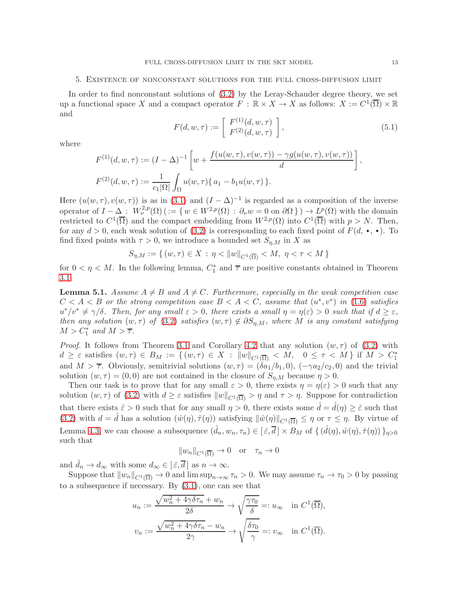### 5. Existence of nonconstant solutions for the full cross-diffusion limit

In order to find nonconstant solutions of [\(3.2\)](#page-5-2) by the Leray-Schauder degree theory, we set up a functional space X and a compact operator  $F : \mathbb{R} \times X \to X$  as follows:  $X := C^1(\overline{\Omega}) \times \mathbb{R}$ and

<span id="page-12-1"></span>
$$
F(d, w, \tau) := \left[ \begin{array}{c} F^{(1)}(d, w, \tau) \\ F^{(2)}(d, w, \tau) \end{array} \right],
$$
\n(5.1)

where

$$
F^{(1)}(d, w, \tau) := (I - \Delta)^{-1} \left[ w + \frac{f(u(w, \tau), v(w, \tau)) - \gamma g(u(w, \tau), v(w, \tau))}{d} \right],
$$
  

$$
F^{(2)}(d, w, \tau) := \frac{1}{c_1 |\Omega|} \int_{\Omega} u(w, \tau) \{ a_1 - b_1 u(w, \tau) \}.
$$

Here  $(u(w, \tau), v(w, \tau))$  is as in  $(3.1)$  and  $(I - \Delta)^{-1}$  is regarded as a composition of the inverse operator of  $I - \Delta$ :  $W^{2,p}_\nu(\Omega)$  ( $:= \{ w \in W^{2,p}(\Omega) : \partial_\nu w = 0 \text{ on } \partial \Omega \}$ )  $\to L^p(\Omega)$  with the domain restricted to  $C^1(\overline{\Omega})$  and the compact embedding from  $W^{2,p}(\Omega)$  into  $C^1(\overline{\Omega})$  with  $p > N$ . Then, for any  $d > 0$ , each weak solution of [\(3.2\)](#page-5-2) is corresponding to each fixed point of  $F(d, \bullet, \bullet)$ . To find fixed points with  $\tau > 0$ , we introduce a bounded set  $S_{\eta,M}$  in X as

$$
S_{\eta,M} := \{ (w,\tau) \in X : \eta < ||w||_{C^1(\overline{\Omega})} < M, \ \eta < \tau < M \}
$$

for  $0 < \eta < M$ . In the following lemma,  $C_1^*$  and  $\overline{\tau}$  are positive constants obtained in Theorem [3.1.](#page-6-1)

<span id="page-12-0"></span>**Lemma 5.1.** Assume  $A \neq B$  and  $A \neq C$ . Furthermore, especially in the weak competition case  $C < A < B$  or the strong competition case  $B < A < C$ , assume that  $(u^*, v^*)$  in [\(1.6\)](#page-3-0) satisfies  $u^*/v^* \neq \gamma/\delta$ . Then, for any small  $\varepsilon > 0$ , there exists a small  $\eta = \eta(\varepsilon) > 0$  such that if  $d \geq \varepsilon$ , then any solution  $(w, \tau)$  of  $(3.2)$  satisfies  $(w, \tau) \notin \partial S_{n,M}$ , where M is any constant satisfying  $M > C_1^*$  and  $M > \overline{\tau}$ .

*Proof.* It follows from Theorem [3.1](#page-6-1) and Corollary [4.2](#page-10-3) that any solution  $(w, \tau)$  of [\(3.2\)](#page-5-2) with  $d \geq \varepsilon$  satisfies  $(w, \tau) \in B_M := \{ (w, \tau) \in X : ||w||_{C^1(\overline{\Omega})} < M, 0 \leq \tau < M \}$  if  $M > C_1^*$ and  $M > \overline{\tau}$ . Obviously, semitrivial solutions  $(w, \tau) = (\delta a_1/b_1, 0), (-\gamma a_2/c_2, 0)$  and the trivial solution  $(w, \tau) = (0, 0)$  are not contained in the closure of  $S_{\eta,M}$  because  $\eta > 0$ .

Then our task is to prove that for any small  $\varepsilon > 0$ , there exists  $\eta = \eta(\varepsilon) > 0$  such that any solution  $(w, \tau)$  of [\(3.2\)](#page-5-2) with  $d \geq \varepsilon$  satisfies  $||w||_{C^1(\overline{\Omega})} > \eta$  and  $\tau > \eta$ . Suppose for contradiction that there exists  $\hat{\varepsilon} > 0$  such that for any small  $\eta > 0$ , there exists some  $\hat{d} = \hat{d}(\eta) \geq \hat{\varepsilon}$  such that [\(3.2\)](#page-5-2) with  $d = \hat{d}$  has a solution  $(\hat{w}(\eta), \hat{\tau}(\eta))$  satisfying  $\|\hat{w}(\eta)\|_{C^1(\overline{\Omega})} \leq \eta$  or  $\tau \leq \eta$ . By virtue of Lemma [4.3,](#page-10-2) we can choose a subsequence  $(\hat{d}_n, w_n, \tau_n) \in [\hat{\varepsilon}, \overline{d}] \times B_M$  of  $\{ (\hat{d}(\eta), \hat{w}(\eta), \hat{\tau}(\eta)) \}_{\eta > 0}$ such that

$$
||w_n||_{C^1(\overline{\Omega})} \to 0 \quad \text{or} \quad \tau_n \to 0
$$

and  $\widehat{d}_n \to d_\infty$  with some  $d_\infty \in [\widehat{\varepsilon}, \overline{d}\,]$  as  $n \to \infty.$ 

Suppose that  $||w_n||_{C^1(\overline{\Omega})} \to 0$  and  $\limsup_{n\to\infty} \tau_n > 0$ . We may assume  $\tau_n \to \tau_0 > 0$  by passing to a subsequence if necessary. By [\(3.1\)](#page-5-1), one can see that

$$
u_n := \frac{\sqrt{w_n^2 + 4\gamma \delta \tau_n} + w_n}{2\delta} \to \sqrt{\frac{\gamma \tau_0}{\delta}} =: u_\infty \quad \text{in } C^1(\overline{\Omega}),
$$
  

$$
v_n := \frac{\sqrt{w_n^2 + 4\gamma \delta \tau_n} - w_n}{2\gamma} \to \sqrt{\frac{\delta \tau_0}{\gamma}} =: v_\infty \quad \text{in } C^1(\overline{\Omega}).
$$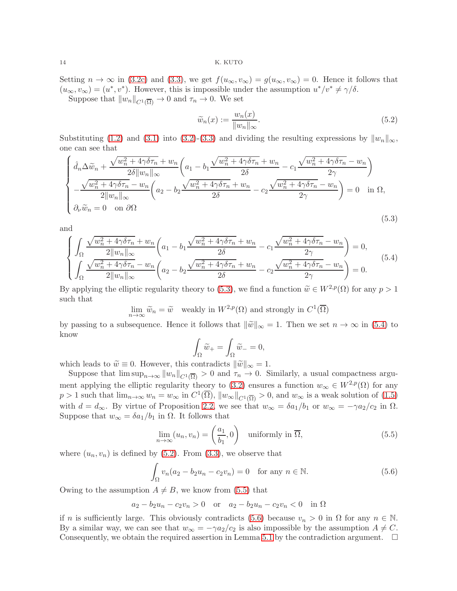Setting  $n \to \infty$  in [\(3.2c\)](#page-5-5) and [\(3.3\)](#page-5-6), we get  $f(u_{\infty}, v_{\infty}) = g(u_{\infty}, v_{\infty}) = 0$ . Hence it follows that  $(u_{\infty}, v_{\infty}) = (u^*, v^*)$ . However, this is impossible under the assumption  $u^*/v^* \neq \gamma/\delta$ . Suppose that  $||w_n||_{C^1(\overline{\Omega})} \to 0$  and  $\tau_n \to 0$ . We set

<span id="page-13-2"></span>
$$
\widetilde{w}_n(x) := \frac{w_n(x)}{\|w_n\|_{\infty}}.\tag{5.2}
$$

Substituting [\(1.2\)](#page-0-1) and [\(3.1\)](#page-5-1) into [\(3.2\)](#page-5-2)-[\(3.3\)](#page-5-6) and dividing the resulting expressions by  $||w_n||_{\infty}$ , one can see that

<span id="page-13-0"></span>
$$
\begin{cases}\n\hat{d}_n \Delta \widetilde{w}_n + \frac{\sqrt{w_n^2 + 4\gamma \delta \tau_n} + w_n}{2\delta \|w_n\|_{\infty}} \left( a_1 - b_1 \frac{\sqrt{w_n^2 + 4\gamma \delta \tau_n} + w_n}{2\delta} - c_1 \frac{\sqrt{w_n^2 + 4\gamma \delta \tau_n} - w_n}{2\gamma} \right) \\
-\frac{\sqrt{w_n^2 + 4\gamma \delta \tau_n} - w_n}{2 \|w_n\|_{\infty}} \left( a_2 - b_2 \frac{\sqrt{w_n^2 + 4\gamma \delta \tau_n} + w_n}{2\delta} - c_2 \frac{\sqrt{w_n^2 + 4\gamma \delta \tau_n} - w_n}{2\gamma} \right) = 0 \quad \text{in } \Omega, \\
\partial_\nu \widetilde{w}_n = 0 \quad \text{on } \partial\Omega\n\end{cases}
$$
\n(5.3)

and

<span id="page-13-1"></span>
$$
\begin{cases}\n\int_{\Omega} \frac{\sqrt{w_n^2 + 4\gamma \delta \tau_n} + w_n}{2||w_n||_{\infty}} \left( a_1 - b_1 \frac{\sqrt{w_n^2 + 4\gamma \delta \tau_n} + w_n}{2\delta} - c_1 \frac{\sqrt{w_n^2 + 4\gamma \delta \tau_n} - w_n}{2\gamma} \right) = 0, \\
\int_{\Omega} \frac{\sqrt{w_n^2 + 4\gamma \delta \tau_n} - w_n}{2||w_n||_{\infty}} \left( a_2 - b_2 \frac{\sqrt{w_n^2 + 4\gamma \delta \tau_n} + w_n}{2\delta} - c_2 \frac{\sqrt{w_n^2 + 4\gamma \delta \tau_n} - w_n}{2\gamma} \right) = 0.\n\end{cases} (5.4)
$$

By applying the elliptic regularity theory to [\(5.3\)](#page-13-0), we find a function  $\widetilde{w} \in W^{2,p}(\Omega)$  for any  $p > 1$ such that

$$
\lim_{n \to \infty} \widetilde{w}_n = \widetilde{w} \quad \text{weakly in } W^{2,p}(\Omega) \text{ and strongly in } C^1(\overline{\Omega})
$$

by passing to a subsequence. Hence it follows that  $\|\tilde{w}\|_{\infty} = 1$ . Then we set  $n \to \infty$  in [\(5.4\)](#page-13-1) to know

$$
\int_{\Omega} \widetilde{w}_{+} = \int_{\Omega} \widetilde{w}_{-} = 0,
$$

which leads to  $\widetilde{w} \equiv 0$ . However, this contradicts  $\|\widetilde{w}\|_{\infty} = 1$ .

Suppose that  $\limsup_{n\to\infty} ||w_n||_{C^1(\overline{\Omega})} > 0$  and  $\tau_n \to 0$ . Similarly, a usual compactness argu-ment applying the elliptic regularity theory to [\(3.2\)](#page-5-2) ensures a function  $w_{\infty} \in W^{2,p}(\Omega)$  for any  $p > 1$  such that  $\lim_{n \to \infty} w_n = w_\infty$  in  $C^1(\overline{\Omega})$ ,  $||w_\infty||_{C^1(\overline{\Omega})} > 0$ , and  $w_\infty$  is a weak solution of  $(1.5)$ with  $d = d_{\infty}$ . By virtue of Proposition [2.2,](#page-4-3) we see that  $w_{\infty} = \delta a_1/b_1$  or  $w_{\infty} = -\gamma a_2/c_2$  in  $\Omega$ . Suppose that  $w_{\infty} = \delta a_1/b_1$  in  $\Omega$ . It follows that

<span id="page-13-3"></span>
$$
\lim_{n \to \infty} (u_n, v_n) = \left(\frac{a_1}{b_1}, 0\right) \quad \text{uniformly in } \overline{\Omega}, \tag{5.5}
$$

where  $(u_n, v_n)$  is defined by  $(5.2)$ . From  $(3.3)$ , we observe that

<span id="page-13-4"></span>
$$
\int_{\Omega} v_n (a_2 - b_2 u_n - c_2 v_n) = 0 \quad \text{for any } n \in \mathbb{N}.
$$
\n
$$
(5.6)
$$

Owing to the assumption  $A \neq B$ , we know from [\(5.5\)](#page-13-3) that

$$
a_2 - b_2 u_n - c_2 v_n > 0
$$
 or  $a_2 - b_2 u_n - c_2 v_n < 0$  in  $\Omega$ 

if n is sufficiently large. This obviously contradicts [\(5.6\)](#page-13-4) because  $v_n > 0$  in  $\Omega$  for any  $n \in \mathbb{N}$ . By a similar way, we can see that  $w_{\infty} = -\gamma a_2/c_2$  is also impossible by the assumption  $A \neq C$ . Consequently, we obtain the required assertion in Lemma [5.1](#page-12-0) by the contradiction argument.  $\Box$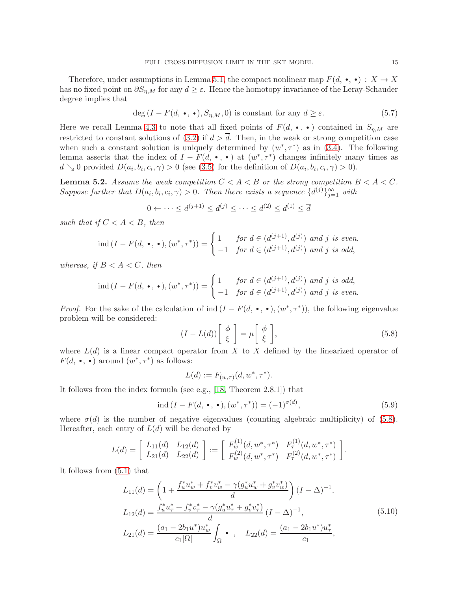Therefore, under assumptions in Lemma [5.1,](#page-12-0) the compact nonlinear map  $F(d, \cdot, \cdot) : X \to X$ has no fixed point on  $\partial S_{n,M}$  for any  $d \geq \varepsilon$ . Hence the homotopy invariance of the Leray-Schauder degree implies that

<span id="page-14-4"></span>
$$
\deg(I - F(d, \bullet, \bullet), S_{\eta, M}, 0) \text{ is constant for any } d \ge \varepsilon. \tag{5.7}
$$

Here we recall Lemma [4.3](#page-10-2) to note that all fixed points of  $F(d, \cdot, \cdot)$  contained in  $S_{\eta,M}$  are restricted to constant solutions of [\(3.2\)](#page-5-2) if  $d > \overline{d}$ . Then, in the weak or strong competition case when such a constant solution is uniquely determined by  $(w^*, \tau^*)$  as in [\(3.4\)](#page-6-2). The following lemma asserts that the index of  $I - F(d, \cdot, \cdot)$  at  $(w^*, \tau^*)$  changes infinitely many times as  $d \searrow 0$  provided  $D(a_i, b_i, c_i, \gamma) > 0$  (see [\(3.5\)](#page-6-0) for the definition of  $D(a_i, b_i, c_i, \gamma) > 0$ ).

<span id="page-14-3"></span>**Lemma 5.2.** Assume the weak competition  $C < A < B$  or the strong competition  $B < A < C$ . Suppose further that  $D(a_i, b_i, c_i, \gamma) > 0$ . Then there exists a sequence  $\{d^{(j)}\}_{j=1}^{\infty}$  with

$$
0 \leftarrow \dots \le d^{(j+1)} \le d^{(j)} \le \dots \le d^{(2)} \le d^{(1)} \le \overline{d}
$$

such that if  $C < A < B$ , then

$$
ind (I - F(d, \bullet, \bullet), (w^*, \tau^*)) = \begin{cases} 1 & \text{for } d \in (d^{(j+1)}, d^{(j)}) \text{ and } j \text{ is even,} \\ -1 & \text{for } d \in (d^{(j+1)}, d^{(j)}) \text{ and } j \text{ is odd,} \end{cases}
$$

whereas, if  $B < A < C$ , then

$$
\text{ind}\,(I - F(d, \bullet, \bullet), (w^*, \tau^*)) = \begin{cases} 1 & \text{for } d \in (d^{(j+1)}, d^{(j)}) \text{ and } j \text{ is odd,} \\ -1 & \text{for } d \in (d^{(j+1)}, d^{(j)}) \text{ and } j \text{ is even.} \end{cases}
$$

*Proof.* For the sake of the calculation of ind  $(I - F(d, \cdot, \cdot), (w^*, \tau^*))$ , the following eigenvalue problem will be considered:

<span id="page-14-0"></span>
$$
(I - L(d)) \begin{bmatrix} \phi \\ \xi \end{bmatrix} = \mu \begin{bmatrix} \phi \\ \xi \end{bmatrix},
$$
\n(5.8)

where  $L(d)$  is a linear compact operator from X to X defined by the linearized operator of  $F(d, \cdot, \cdot)$  around  $(w^*, \tau^*)$  as follows:

$$
L(d) := F_{(w,\tau)}(d, w^*, \tau^*).
$$

It follows from the index formula (see e.g., [\[18,](#page-31-20) Theorem 2.8.1]) that

<span id="page-14-2"></span>
$$
\operatorname{ind} (I - F(d, \bullet, \bullet), (w^*, \tau^*)) = (-1)^{\sigma(d)},\tag{5.9}
$$

.

where  $\sigma(d)$  is the number of negative eigenvalues (counting algebraic multiplicity) of [\(5.8\)](#page-14-0). Hereafter, each entry of  $L(d)$  will be denoted by

$$
L(d) = \begin{bmatrix} L_{11}(d) & L_{12}(d) \\ L_{21}(d) & L_{22}(d) \end{bmatrix} := \begin{bmatrix} F_w^{(1)}(d, w^*, \tau^*) & F_\tau^{(1)}(d, w^*, \tau^*) \\ F_w^{(2)}(d, w^*, \tau^*) & F_\tau^{(2)}(d, w^*, \tau^*) \end{bmatrix}
$$

<span id="page-14-1"></span>It follows from [\(5.1\)](#page-12-1) that

$$
L_{11}(d) = \left(1 + \frac{f_u^* u_w^* + f_v^* v_w^* - \gamma(g_u^* u_w^* + g_v^* v_w^*)}{d}\right) (I - \Delta)^{-1},
$$
  
\n
$$
L_{12}(d) = \frac{f_u^* u_\tau^* + f_v^* v_\tau^* - \gamma(g_u^* u_\tau^* + g_v^* v_\tau^*)}{d} (I - \Delta)^{-1},
$$
  
\n
$$
L_{21}(d) = \frac{(a_1 - 2b_1 u^*) u_w^*}{c_1 |\Omega|} \int_{\Omega} \bullet , \quad L_{22}(d) = \frac{(a_1 - 2b_1 u^*) u_\tau^*}{c_1},
$$
\n(5.10)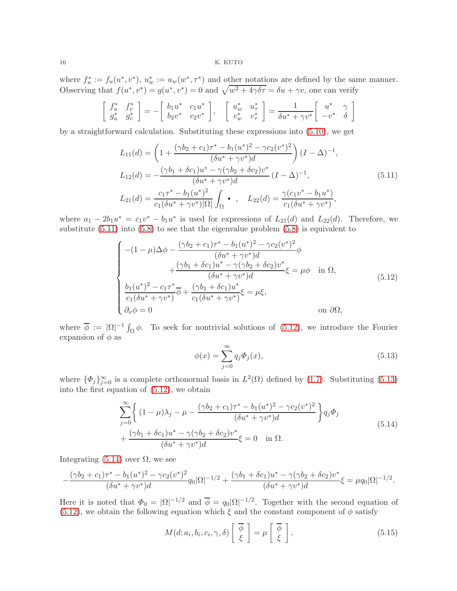where  $f_u^* := f_u(u^*, v^*)$ ,  $u_w^* := u_w(w^*, \tau^*)$  and other notations are defined by the same manner. Observing that  $f(u^*, v^*) = g(u^*, v^*) = 0$  and  $\sqrt{w^2 + 4\gamma \delta \tau} = \delta u + \gamma v$ , one can verify

$$
\begin{bmatrix} f_u^* & f_v^* \\ g_u^* & g_v^* \end{bmatrix} = -\begin{bmatrix} b_1 u^* & c_1 u^* \\ b_2 v^* & c_2 v^* \end{bmatrix}, \quad \begin{bmatrix} u_w^* & u_\tau^* \\ v_w^* & v_\tau^* \end{bmatrix} = \frac{1}{\delta u^* + \gamma v^*} \begin{bmatrix} u^* & \gamma \\ -v^* & \delta \end{bmatrix}
$$

<span id="page-15-0"></span>by a straightforward calculation. Substituting these expressions into [\(5.10\)](#page-14-1), we get

$$
L_{11}(d) = \left(1 + \frac{(\gamma b_2 + c_1)\tau^* - b_1(u^*)^2 - \gamma c_2(v^*)^2}{(\delta u^* + \gamma v^*)d}\right) (I - \Delta)^{-1},
$$
  
\n
$$
L_{12}(d) = -\frac{(\gamma b_1 + \delta c_1)u^* - \gamma(\gamma b_2 + \delta c_2)v^*}{(\delta u^* + \gamma v^*)d} (I - \Delta)^{-1},
$$
  
\n
$$
L_{21}(d) = \frac{c_1 \tau^* - b_1(u^*)^2}{c_1(\delta u^* + \gamma v^*)|\Omega|} \int_{\Omega} \bullet , \quad L_{22}(d) = \frac{\gamma(c_1 v^* - b_1 u^*)}{c_1(\delta u^* + \gamma v^*)},
$$
\n(5.11)

where  $a_1 - 2b_1u^* = c_1v^* - b_1u^*$  is used for expressions of  $L_{21}(d)$  and  $L_{22}(d)$ . Therefore, we substitute [\(5.11\)](#page-15-0) into [\(5.8\)](#page-14-0) to see that the eigenvalue problem [\(5.8\)](#page-14-0) is equivalent to

<span id="page-15-1"></span>
$$
\begin{cases}\n-(1-\mu)\Delta\phi - \frac{(\gamma b_2 + c_1)\tau^* - b_1(u^*)^2 - \gamma c_2(v^*)^2}{(\delta u^* + \gamma v^*)d}\phi \\
+ \frac{(\gamma b_1 + \delta c_1)u^* - \gamma(\gamma b_2 + \delta c_2)v^*}{(\delta u^* + \gamma v^*)d}\xi = \mu\phi \quad \text{in } \Omega, \\
\frac{b_1(u^*)^2 - c_1\tau^*}{c_1(\delta u^* + \gamma v^*)}\overline{\phi} + \frac{(\gamma b_1 + \delta c_1)u^*}{c_1(\delta u^* + \gamma v^*)}\xi = \mu\xi, \\
\partial_\nu\phi = 0\n\end{cases} \tag{5.12}
$$

where  $\overline{\phi} := |\Omega|^{-1} \int_{\Omega} \phi$ . To seek for nontrivial solutions of [\(5.12\)](#page-15-1), we introduce the Fourier expansion of  $\phi$  as

<span id="page-15-2"></span>
$$
\phi(x) = \sum_{j=0}^{\infty} q_j \Phi_j(x),\tag{5.13}
$$

where  $\{\Phi_j\}_{j=0}^{\infty}$  is a complete orthonormal basis in  $L^2(\Omega)$  defined by [\(1.7\)](#page-3-1). Substituting [\(5.13\)](#page-15-2) into the first equation of [\(5.12\)](#page-15-1), we obtain

$$
\sum_{j=0}^{\infty} \left\{ (1 - \mu)\lambda_j - \mu - \frac{(\gamma b_2 + c_1)\tau^* - b_1(u^*)^2 - \gamma c_2(v^*)^2}{(\delta u^* + \gamma v^*)d} \right\} q_j \Phi_j + \frac{(\gamma b_1 + \delta c_1)u^* - \gamma(\gamma b_2 + \delta c_2)v^*}{(\delta u^* + \gamma v^*)d} \xi = 0 \quad \text{in } \Omega.
$$
\n(5.14)

<span id="page-15-3"></span>Integrating  $(5.14)$  over  $Ω$ , we see

$$
-\frac{(\gamma b_2 + c_1)\tau^* - b_1(u^*)^2 - \gamma c_2(v^*)^2}{(\delta u^* + \gamma v^*)d}q_0|\Omega|^{-1/2} + \frac{(\gamma b_1 + \delta c_1)u^* - \gamma(\gamma b_2 + \delta c_2)v^*}{(\delta u^* + \gamma v^*)d}\xi = \mu q_0|\Omega|^{-1/2}.
$$

Here it is noted that  $\Phi_0 = |\Omega|^{-1/2}$  and  $\overline{\phi} = q_0 |\Omega|^{-1/2}$ . Together with the second equation of [\(5.12\)](#page-15-1), we obtain the following equation which  $\xi$  and the constant component of  $\phi$  satisfy

<span id="page-15-4"></span>
$$
M(d; a_i, b_i, c_i, \gamma, \delta) \left[ \begin{array}{c} \overline{\phi} \\ \xi \end{array} \right] = \mu \left[ \begin{array}{c} \overline{\phi} \\ \xi \end{array} \right],
$$
\n(5.15)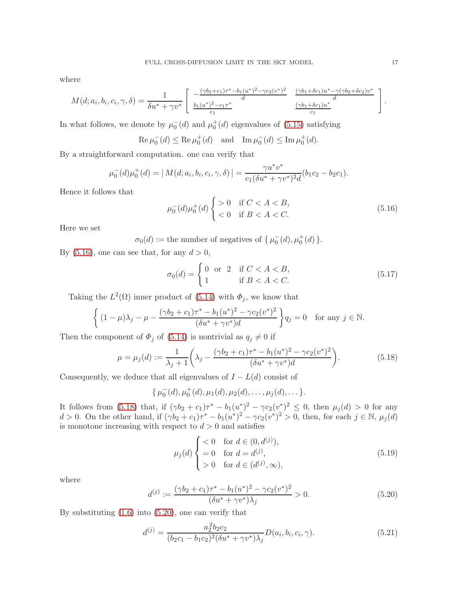where

$$
M(d; a_i, b_i, c_i, \gamma, \delta) = \frac{1}{\delta u^* + \gamma v^*} \left[ \begin{array}{cc} -\frac{(\gamma b_2 + c_1)\tau^* - b_1(u^*)^2 - \gamma c_2(v^*)^2}{d} & \frac{(\gamma b_1 + \delta c_1)u^* - \gamma (\gamma b_2 + \delta c_2)v^*}{d} \\ \frac{b_1(u^*)^2 - c_1\tau^*}{c_1} & \frac{(\gamma b_1 + \delta c_1)u^*}{c_1} \end{array} \right].
$$

In what follows, we denote by  $\mu_0^-(d)$  and  $\mu_0^+(d)$  eigenvalues of [\(5.15\)](#page-15-4) satisfying

$$
\operatorname{Re}\mu_0^-(d) \le \operatorname{Re}\mu_0^+(d)
$$
 and  $\operatorname{Im}\mu_0^-(d) \le \operatorname{Im}\mu_0^+(d)$ .

By a straightforward computation. one can verify that

$$
\mu_0^-(d)\mu_0^+(d) = |M(d; a_i, b_i, c_i, \gamma, \delta)| = \frac{\gamma u^* v^*}{c_1 (\delta u^* + \gamma v^*)^2 d} (b_1 c_2 - b_2 c_1).
$$

Hence it follows that

<span id="page-16-0"></span>
$$
\mu_0^-(d)\mu_0^+(d) \begin{cases} > 0 \quad \text{if } C < A < B, \\ < 0 \quad \text{if } B < A < C. \end{cases} \tag{5.16}
$$

Here we set

 $\sigma_0(d) :=$  the number of negatives of  $\{\mu_0^-(d), \mu_0^+(d)\}.$ 

By  $(5.16)$ , one can see that, for any  $d > 0$ ,

<span id="page-16-3"></span>
$$
\sigma_0(d) = \begin{cases} 0 & \text{or} \quad 2 & \text{if } C < A < B, \\ 1 & \text{if } B < A < C. \end{cases}
$$
 (5.17)

Taking the  $L^2(\Omega)$  inner product of [\(5.14\)](#page-15-3) with  $\Phi_j$ , we know that

$$
\left\{ (1 - \mu)\lambda_j - \mu - \frac{(\gamma b_2 + c_1)\tau^* - b_1(u^*)^2 - \gamma c_2(v^*)^2}{(\delta u^* + \gamma v^*)d} \right\} q_j = 0 \text{ for any } j \in \mathbb{N}.
$$

Then the component of  $\Phi_j$  of [\(5.14\)](#page-15-3) is nontrivial as  $q_j \neq 0$  if

<span id="page-16-1"></span>
$$
\mu = \mu_j(d) := \frac{1}{\lambda_j + 1} \left( \lambda_j - \frac{(\gamma b_2 + c_1)\tau^* - b_1(u^*)^2 - \gamma c_2(v^*)^2}{(\delta u^* + \gamma v^*)d} \right).
$$
(5.18)

Consequently, we deduce that all eigenvalues of  $I - L(d)$  consist of

$$
\{\mu_0^-(d), \mu_0^+(d), \mu_1(d), \mu_2(d), \ldots, \mu_j(d), \ldots\}.
$$

It follows from [\(5.18\)](#page-16-1) that, if  $(\gamma b_2 + c_1)\tau^* - b_1(u^*)^2 - \gamma c_2(v^*)^2 \leq 0$ , then  $\mu_j(d) > 0$  for any d > 0. On the other hand, if  $(\gamma b_2 + c_1)\tau^* - b_1(u^*)^2 - \gamma c_2(v^*)^2 > 0$ , then, for each  $j \in \mathbb{N}$ ,  $\mu_j(d)$ is monotone increasing with respect to  $d > 0$  and satisfies

<span id="page-16-4"></span>
$$
\mu_j(d) \begin{cases} < 0 \quad \text{for } d \in (0, d^{(j)}), \\ = 0 \quad \text{for } d = d^{(j)}, \\ > 0 \quad \text{for } d \in (d^{(j)}, \infty), \end{cases} \tag{5.19}
$$

where

<span id="page-16-2"></span>
$$
d^{(j)} := \frac{(\gamma b_2 + c_1)\tau^* - b_1(u^*)^2 - \gamma c_2(v^*)^2}{(\delta u^* + \gamma v^*)\lambda_j} > 0.
$$
\n(5.20)

By substituting  $(1.6)$  into  $(5.20)$ , one can verify that

<span id="page-16-5"></span>
$$
d^{(j)} = \frac{a_2^2 b_2 c_2}{(b_2 c_1 - b_1 c_2)^2 (\delta u^* + \gamma v^*) \lambda_j} D(a_i, b_i, c_i, \gamma).
$$
 (5.21)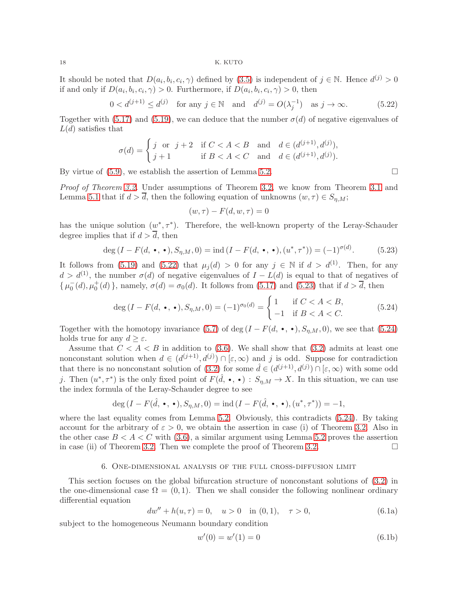It should be noted that  $D(a_i, b_i, c_i, \gamma)$  defined by [\(3.5\)](#page-6-0) is independent of  $j \in \mathbb{N}$ . Hence  $d^{(j)} > 0$ if and only if  $D(a_i, b_i, c_i, \gamma) > 0$ . Furthermore, if  $D(a_i, b_i, c_i, \gamma) > 0$ , then

<span id="page-17-0"></span>
$$
0 < d^{(j+1)} \le d^{(j)} \quad \text{for any } j \in \mathbb{N} \quad \text{and} \quad d^{(j)} = O(\lambda_j^{-1}) \quad \text{as } j \to \infty. \tag{5.22}
$$

Together with [\(5.17\)](#page-16-3) and [\(5.19\)](#page-16-4), we can deduce that the number  $\sigma(d)$  of negative eigenvalues of  $L(d)$  satisfies that

$$
\sigma(d) = \begin{cases} j \text{ or } j+2 & \text{if } C < A < B \\ j+1 & \text{if } B < A < C \end{cases} \text{ and } d \in (d^{(j+1)}, d^{(j)}),
$$

By virtue of  $(5.9)$ , we establish the assertion of Lemma [5.2.](#page-14-3)

Proof of Theorem [3.2.](#page-6-3) Under assumptions of Theorem [3.2,](#page-6-3) we know from Theorem [3.1](#page-6-1) and Lemma [5.1](#page-12-0) that if  $d > d$ , then the following equation of unknowns  $(w, \tau) \in S_{n,M}$ ;

$$
(w,\tau) - F(d, w, \tau) = 0
$$

has the unique solution  $(w^*, \tau^*)$ . Therefore, the well-known property of the Leray-Schauder degree implies that if  $d > \overline{d}$ , then

<span id="page-17-1"></span>
$$
\deg(I - F(d, \bullet, \bullet), S_{\eta, M}, 0) = \text{ind}\,(I - F(d, \bullet, \bullet), (u^*, \tau^*)) = (-1)^{\sigma(d)}.\tag{5.23}
$$

It follows from [\(5.19\)](#page-16-4) and [\(5.22\)](#page-17-0) that  $\mu_i(d) > 0$  for any  $j \in \mathbb{N}$  if  $d > d^{(1)}$ . Then, for any  $d > d^{(1)}$ , the number  $\sigma(d)$  of negative eigenvalues of  $I - L(d)$  is equal to that of negatives of  $\{\mu_0^-(d), \mu_0^+(d)\}\$ , namely,  $\sigma(d) = \sigma_0(d)$ . It follows from [\(5.17\)](#page-16-3) and [\(5.23\)](#page-17-1) that if  $d > \overline{d}$ , then

<span id="page-17-2"></span>
$$
\deg(I - F(d, \bullet, \bullet), S_{\eta, M}, 0) = (-1)^{\sigma_0(d)} = \begin{cases} 1 & \text{if } C < A < B, \\ -1 & \text{if } B < A < C. \end{cases} \tag{5.24}
$$

Together with the homotopy invariance [\(5.7\)](#page-14-4) of deg  $(I - F(d, \cdot, \cdot), S_{\eta,M}, 0)$ , we see that [\(5.24\)](#page-17-2) holds true for any  $d \geq \varepsilon$ .

Assume that  $C < A < B$  in addition to [\(3.6\)](#page-6-4). We shall show that [\(3.2\)](#page-5-2) admits at least one nonconstant solution when  $d \in (d^{(j+1)}, d^{(j)}) \cap [\varepsilon, \infty)$  and j is odd. Suppose for contradiction that there is no nonconstant solution of  $(3.2)$  for some  $\hat{d} \in (d^{(j+1)}, d^{(j)}) \cap [\varepsilon, \infty)$  with some odd j. Then  $(u^*, \tau^*)$  is the only fixed point of  $F(\hat{d}, \bullet, \bullet) : S_{\eta, M} \to X$ . In this situation, we can use the index formula of the Leray-Schauder degree to see

$$
\deg(I - F(\hat{d}, \bullet, \bullet), S_{\eta, M}, 0) = \text{ind}\,(I - F(\hat{d}, \bullet, \bullet), (u^*, \tau^*)) = -1,
$$

where the last equality comes from Lemma [5.2.](#page-14-3) Obviously, this contradicts [\(5.24\)](#page-17-2). By taking account for the arbitrary of  $\varepsilon > 0$ , we obtain the assertion in case (i) of Theorem [3.2.](#page-6-3) Also in the other case  $B < A < C$  with [\(3.6\)](#page-6-4), a similar argument using Lemma [5.2](#page-14-3) proves the assertion in case (ii) of Theorem [3.2.](#page-6-3) Then we complete the proof of Theorem 3.2.  $\Box$ 

### 6. One-dimensional analysis of the full cross-diffusion limit

This section focuses on the global bifurcation structure of nonconstant solutions of [\(3.2\)](#page-5-2) in the one-dimensional case  $\Omega = (0, 1)$ . Then we shall consider the following nonlinear ordinary differential equation

<span id="page-17-4"></span><span id="page-17-3"></span>
$$
dw'' + h(u, \tau) = 0, \quad u > 0 \quad \text{in (0,1)}, \quad \tau > 0,
$$
\n(6.1a)

subject to the homogeneous Neumann boundary condition

<span id="page-17-5"></span>
$$
w'(0) = w'(1) = 0
$$
\n(6.1b)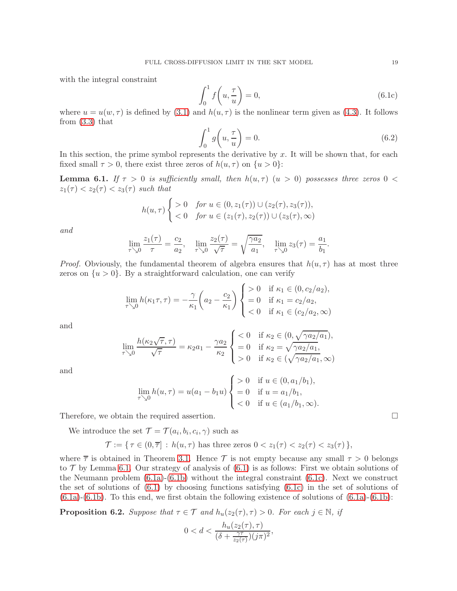with the integral constraint

<span id="page-18-1"></span>
$$
\int_0^1 f\left(u, \frac{\tau}{u}\right) = 0,\tag{6.1c}
$$

where  $u = u(w, \tau)$  is defined by [\(3.1\)](#page-5-1) and  $h(u, \tau)$  is the nonlinear term given as [\(4.3\)](#page-8-4). It follows from [\(3.3\)](#page-5-6) that

<span id="page-18-3"></span>
$$
\int_0^1 g\left(u, \frac{\tau}{u}\right) = 0.
$$
\n(6.2)

In this section, the prime symbol represents the derivative by  $x$ . It will be shown that, for each fixed small  $\tau > 0$ , there exist three zeros of  $h(u, \tau)$  on  $\{u > 0\}$ :

<span id="page-18-0"></span>**Lemma 6.1.** If  $\tau > 0$  is sufficiently small, then  $h(u, \tau)$   $(u > 0)$  possesses three zeros  $0 <$  $z_1(\tau) < z_2(\tau) < z_3(\tau)$  such that

$$
h(u,\tau) \begin{cases} > 0 & \text{for } u \in (0, z_1(\tau)) \cup (z_2(\tau), z_3(\tau)), \\ < 0 & \text{for } u \in (z_1(\tau), z_2(\tau)) \cup (z_3(\tau), \infty) \end{cases}
$$

and

$$
\lim_{\tau \searrow 0} \frac{z_1(\tau)}{\tau} = \frac{c_2}{a_2}, \quad \lim_{\tau \searrow 0} \frac{z_2(\tau)}{\sqrt{\tau}} = \sqrt{\frac{\gamma a_2}{a_1}}, \quad \lim_{\tau \searrow 0} z_3(\tau) = \frac{a_1}{b_1}.
$$

*Proof.* Obviously, the fundamental theorem of algebra ensures that  $h(u, \tau)$  has at most three zeros on  $\{u > 0\}$ . By a straightforward calculation, one can verify

$$
\lim_{\tau \searrow 0} h(\kappa_1 \tau, \tau) = -\frac{\gamma}{\kappa_1} \left( a_2 - \frac{c_2}{\kappa_1} \right) \begin{cases} > 0 & \text{if } \kappa_1 \in (0, c_2/a_2), \\ = 0 & \text{if } \kappa_1 = c_2/a_2, \\ < 0 & \text{if } \kappa_1 \in (c_2/a_2, \infty) \end{cases}
$$

and

$$
\lim_{\tau \searrow 0} \frac{h(\kappa_2 \sqrt{\tau}, \tau)}{\sqrt{\tau}} = \kappa_2 a_1 - \frac{\gamma a_2}{\kappa_2} \begin{cases} < 0 & \text{if } \kappa_2 \in (0, \sqrt{\gamma a_2/a_1}), \\ = 0 & \text{if } \kappa_2 = \sqrt{\gamma a_2/a_1}, \\ > 0 & \text{if } \kappa_2 \in (\sqrt{\gamma a_2/a_1}, \infty) \end{cases}
$$

and

$$
\lim_{\tau \searrow 0} h(u, \tau) = u(a_1 - b_1 u) \begin{cases} > 0 & \text{if } u \in (0, a_1 / b_1), \\ = 0 & \text{if } u = a_1 / b_1, \\ < 0 & \text{if } u \in (a_1 / b_1, \infty). \end{cases}
$$

Therefore, we obtain the required assertion.

We introduce the set  $\mathcal{T} = \mathcal{T}(a_i, b_i, c_i, \gamma)$  such as

$$
\mathcal{T} := \{ \tau \in (0, \overline{\tau}] : h(u, \tau) \text{ has three zeros } 0 < z_1(\tau) < z_2(\tau) < z_3(\tau) \},
$$

where  $\overline{\tau}$  is obtained in Theorem [3.1.](#page-6-1) Hence T is not empty because any small  $\tau > 0$  belongs to  $\mathcal T$  by Lemma [6.1.](#page-18-0) Our strategy of analysis of  $(6.1)$  is as follows: First we obtain solutions of the Neumann problem  $(6.1a)-(6.1b)$  $(6.1a)-(6.1b)$  without the integral constraint  $(6.1c)$ . Next we construct the set of solutions of [\(6.1\)](#page-17-3) by choosing functions satisfying [\(6.1c\)](#page-18-1) in the set of solutions of  $(6.1a)-(6.1b)$  $(6.1a)-(6.1b)$  $(6.1a)-(6.1b)$ . To this end, we first obtain the following existence of solutions of  $(6.1a)-(6.1b)$ :

<span id="page-18-2"></span>**Proposition 6.2.** Suppose that  $\tau \in \mathcal{T}$  and  $h_u(z_2(\tau), \tau) > 0$ . For each  $j \in \mathbb{N}$ , if

$$
0 < d < \frac{h_u(z_2(\tau), \tau)}{(\delta + \frac{\gamma \tau}{z_2(\tau)})(j\pi)^2},
$$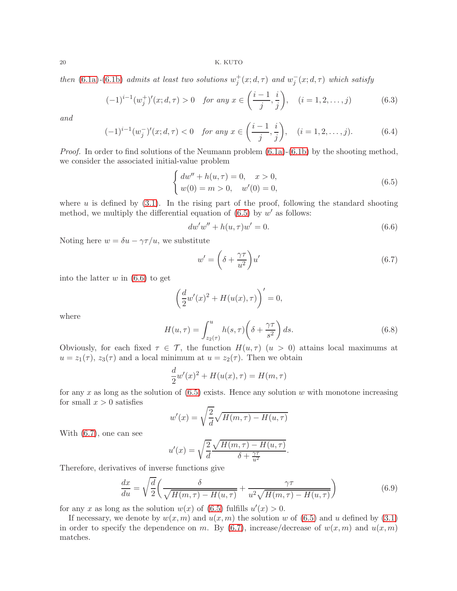then [\(6.1a\)](#page-17-4)-[\(6.1b\)](#page-17-5) admits at least two solutions  $w_j^+(x; d, \tau)$  and  $w_j^-(x; d, \tau)$  which satisfy

<span id="page-19-5"></span>
$$
(-1)^{i-1}(w_j^+)'(x;d,\tau) > 0 \quad \text{for any } x \in \left(\frac{i-1}{j}, \frac{i}{j}\right), \quad (i = 1, 2, \dots, j) \tag{6.3}
$$

and

<span id="page-19-6"></span>
$$
(-1)^{i-1}(w_j^-)'(x;d,\tau) < 0 \quad \text{for any } x \in \left(\frac{i-1}{j}, \frac{i}{j}\right), \quad (i = 1, 2, \dots, j). \tag{6.4}
$$

*Proof.* In order to find solutions of the Neumann problem  $(6.1a)-(6.1b)$  $(6.1a)-(6.1b)$  by the shooting method, we consider the associated initial-value problem

<span id="page-19-0"></span>
$$
\begin{cases}\n dw'' + h(u, \tau) = 0, & x > 0, \\
 w(0) = m > 0, & w'(0) = 0,\n\end{cases}
$$
\n(6.5)

where  $u$  is defined by  $(3.1)$ . In the rising part of the proof, following the standard shooting method, we multiply the differential equation of  $(6.5)$  by w' as follows:

<span id="page-19-1"></span>
$$
dw'w'' + h(u, \tau)w' = 0.
$$
\n(6.6)

Noting here  $w = \delta u - \gamma \tau / u$ , we substitute

<span id="page-19-2"></span>
$$
w' = \left(\delta + \frac{\gamma \tau}{u^2}\right)u'
$$
\n(6.7)

into the latter  $w$  in  $(6.6)$  to get

$$
\left(\frac{d}{2}w'(x)^2 + H(u(x), \tau)\right)' = 0,
$$

where

<span id="page-19-4"></span>
$$
H(u,\tau) = \int_{z_2(\tau)}^{u} h(s,\tau) \left(\delta + \frac{\gamma \tau}{s^2}\right) ds.
$$
 (6.8)

Obviously, for each fixed  $\tau \in \mathcal{T}$ , the function  $H(u, \tau)$   $(u > 0)$  attains local maximums at  $u = z_1(\tau)$ ,  $z_3(\tau)$  and a local minimum at  $u = z_2(\tau)$ . Then we obtain

$$
\frac{d}{2}w'(x)^2 + H(u(x), \tau) = H(m, \tau)
$$

for any x as long as the solution of  $(6.5)$  exists. Hence any solution w with monotone increasing for small  $x > 0$  satisfies

$$
w'(x) = \sqrt{\frac{2}{d}} \sqrt{H(m,\tau) - H(u,\tau)}
$$

With [\(6.7\)](#page-19-2), one can see

$$
u'(x) = \sqrt{\frac{2}{d}} \frac{\sqrt{H(m,\tau) - H(u,\tau)}}{\delta + \frac{\gamma\tau}{u^2}}.
$$

Therefore, derivatives of inverse functions give

<span id="page-19-3"></span>
$$
\frac{dx}{du} = \sqrt{\frac{d}{2}} \left( \frac{\delta}{\sqrt{H(m,\tau) - H(u,\tau)}} + \frac{\gamma \tau}{u^2 \sqrt{H(m,\tau) - H(u,\tau)}} \right) \tag{6.9}
$$

for any x as long as the solution  $w(x)$  of [\(6.5\)](#page-19-0) fulfills  $u'(x) > 0$ .

If necessary, we denote by  $w(x, m)$  and  $u(x, m)$  the solution w of [\(6.5\)](#page-19-0) and u defined by [\(3.1\)](#page-5-1) in order to specify the dependence on m. By [\(6.7\)](#page-19-2), increase/decrease of  $w(x, m)$  and  $u(x, m)$ matches.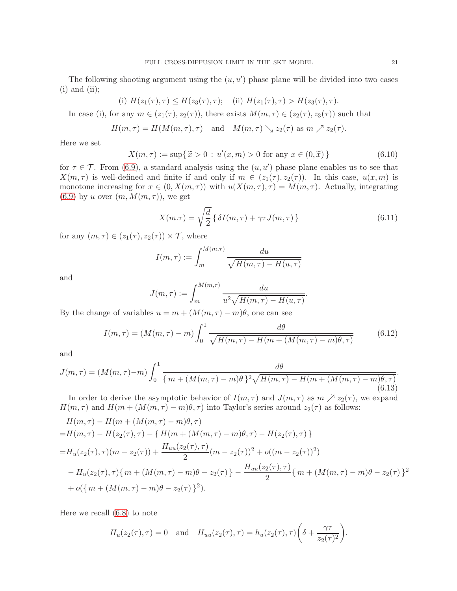The following shooting argument using the  $(u, u')$  phase plane will be divided into two cases  $(i)$  and  $(ii);$ 

(i) 
$$
H(z_1(\tau), \tau) \leq H(z_3(\tau), \tau)
$$
; (ii)  $H(z_1(\tau), \tau) > H(z_3(\tau), \tau)$ .

In case (i), for any  $m \in (z_1(\tau), z_2(\tau))$ , there exists  $M(m, \tau) \in (z_2(\tau), z_3(\tau))$  such that

$$
H(m,\tau) = H(M(m,\tau),\tau) \text{ and } M(m,\tau) \searrow z_2(\tau) \text{ as } m \nearrow z_2(\tau).
$$

Here we set

<span id="page-20-3"></span>
$$
X(m, \tau) := \sup \{ \tilde{x} > 0 : u'(x, m) > 0 \text{ for any } x \in (0, \tilde{x}) \}
$$
 (6.10)

for  $\tau \in \mathcal{T}$ . From [\(6.9\)](#page-19-3), a standard analysis using the  $(u, u')$  phase plane enables us to see that  $X(m, \tau)$  is well-defined and finite if and only if  $m \in (z_1(\tau), z_2(\tau))$ . In this case,  $u(x, m)$  is monotone increasing for  $x \in (0, X(m, \tau))$  with  $u(X(m, \tau), \tau) = M(m, \tau)$ . Actually, integrating [\(6.9\)](#page-19-3) by u over  $(m, M(m, \tau))$ , we get

<span id="page-20-2"></span>
$$
X(m.\tau) = \sqrt{\frac{d}{2}} \left\{ \delta I(m,\tau) + \gamma \tau J(m,\tau) \right\}
$$
\n(6.11)

for any  $(m, \tau) \in (z_1(\tau), z_2(\tau)) \times \mathcal{T}$ , where

$$
I(m,\tau) := \int_{m}^{M(m,\tau)} \frac{du}{\sqrt{H(m,\tau) - H(u,\tau)}}
$$

and

$$
J(m,\tau) := \int_m^{M(m,\tau)} \frac{du}{u^2 \sqrt{H(m,\tau) - H(u,\tau)}}.
$$

By the change of variables  $u = m + (M(m, \tau) - m)\theta$ , one can see

<span id="page-20-0"></span>
$$
I(m,\tau) = (M(m,\tau) - m) \int_0^1 \frac{d\theta}{\sqrt{H(m,\tau) - H(m + (M(m,\tau) - m)\theta, \tau)}}
$$
(6.12)

and

<span id="page-20-1"></span>
$$
J(m,\tau) = (M(m,\tau)-m)\int_0^1 \frac{d\theta}{\{m + (M(m,\tau)-m)\theta\}^2 \sqrt{H(m,\tau)-H(m+(M(m,\tau)-m)\theta,\tau)}}.
$$
\n(6.13)

In order to derive the asymptotic behavior of  $I(m, \tau)$  and  $J(m, \tau)$  as  $m \nearrow z_2(\tau)$ , we expand  $H(m, \tau)$  and  $H(m + (M(m, \tau) - m)\theta, \tau)$  into Taylor's series around  $z_2(\tau)$  as follows:

$$
H(m,\tau) - H(m + (M(m,\tau) - m)\theta, \tau)
$$
  
= $H(m,\tau) - H(z_2(\tau),\tau) - \{H(m + (M(m,\tau) - m)\theta, \tau) - H(z_2(\tau),\tau)\}$   
= $H_u(z_2(\tau),\tau)(m - z_2(\tau)) + \frac{H_{uu}(z_2(\tau),\tau)}{2}(m - z_2(\tau))^2 + o((m - z_2(\tau))^2)$   
 $- H_u(z_2(\tau),\tau)\{m + (M(m,\tau) - m)\theta - z_2(\tau)\} - \frac{H_{uu}(z_2(\tau),\tau)}{2}\{m + (M(m,\tau) - m)\theta - z_2(\tau)\}^2$   
+ $o(\{m + (M(m,\tau) - m)\theta - z_2(\tau)\}^2).$ 

Here we recall [\(6.8\)](#page-19-4) to note

$$
H_u(z_2(\tau), \tau) = 0 \text{ and } H_{uu}(z_2(\tau), \tau) = h_u(z_2(\tau), \tau) \left( \delta + \frac{\gamma \tau}{z_2(\tau)^2} \right).
$$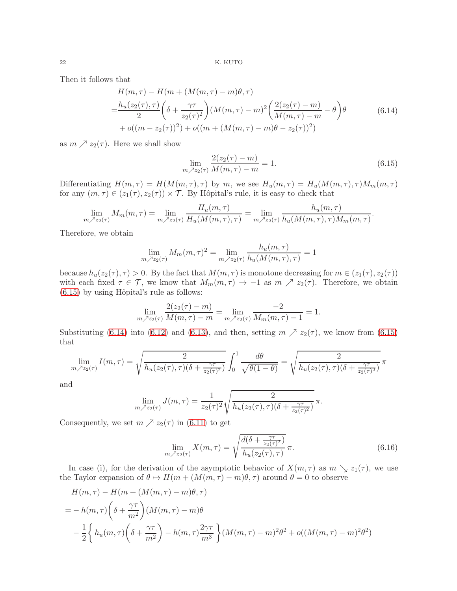<span id="page-21-1"></span>Then it follows that

$$
H(m,\tau) - H(m + (M(m,\tau) - m)\theta, \tau)
$$
  
= 
$$
\frac{h_u(z_2(\tau), \tau)}{2} \left( \delta + \frac{\gamma \tau}{z_2(\tau)^2} \right) (M(m,\tau) - m)^2 \left( \frac{2(z_2(\tau) - m)}{M(m,\tau) - m} - \theta \right) \theta
$$
(6.14)  
+ 
$$
o((m - z_2(\tau))^2) + o((m + (M(m,\tau) - m)\theta - z_2(\tau))^2)
$$

as  $m \nearrow z_2(\tau)$ . Here we shall show

<span id="page-21-0"></span>
$$
\lim_{m \to \infty} \frac{2(z_2(\tau) - m)}{M(m, \tau) - m} = 1.
$$
\n(6.15)

Differentiating  $H(m, \tau) = H(M(m, \tau), \tau)$  by m, we see  $H_u(m, \tau) = H_u(M(m, \tau), \tau)M_m(m, \tau)$ for any  $(m, \tau) \in (z_1(\tau), z_2(\tau)) \times \mathcal{T}$ . By Hôpital's rule, it is easy to check that

$$
\lim_{m \nearrow z_2(\tau)} M_m(m, \tau) = \lim_{m \nearrow z_2(\tau)} \frac{H_u(m, \tau)}{H_u(M(m, \tau), \tau)} = \lim_{m \nearrow z_2(\tau)} \frac{h_u(m, \tau)}{h_u(M(m, \tau), \tau)M_m(m, \tau)}.
$$

Therefore, we obtain

$$
\lim_{m \nearrow z_2(\tau)} M_m(m, \tau)^2 = \lim_{m \nearrow z_2(\tau)} \frac{h_u(m, \tau)}{h_u(M(m, \tau), \tau)} = 1
$$

because  $h_u(z_2(\tau), \tau) > 0$ . By the fact that  $M(m, \tau)$  is monotone decreasing for  $m \in (z_1(\tau), z_2(\tau))$ with each fixed  $\tau \in \mathcal{T}$ , we know that  $M_m(m, \tau) \to -1$  as  $m \nearrow z_2(\tau)$ . Therefore, we obtain  $(6.15)$  by using Hôpital's rule as follows:

$$
\lim_{m \nearrow z_2(\tau)} \frac{2(z_2(\tau) - m)}{M(m, \tau) - m} = \lim_{m \nearrow z_2(\tau)} \frac{-2}{M_m(m, \tau) - 1} = 1.
$$

Substituting [\(6.14\)](#page-21-1) into [\(6.12\)](#page-20-0) and [\(6.13\)](#page-20-1), and then, setting  $m \nearrow z_2(\tau)$ , we know from [\(6.15\)](#page-21-0) that

$$
\lim_{m \nearrow z_2(\tau)} I(m,\tau) = \sqrt{\frac{2}{h_u(z_2(\tau),\tau)(\delta + \frac{\gamma \tau}{z_2(\tau)^2})}} \int_0^1 \frac{d\theta}{\sqrt{\theta(1-\theta)}} = \sqrt{\frac{2}{h_u(z_2(\tau),\tau)(\delta + \frac{\gamma \tau}{z_2(\tau)^2})}} \pi
$$

and

$$
\lim_{m \nearrow z_2(\tau)} J(m, \tau) = \frac{1}{z_2(\tau)^2} \sqrt{\frac{2}{h_u(z_2(\tau), \tau)(\delta + \frac{\gamma \tau}{z_2(\tau)^2})}} \pi.
$$

Consequently, we set  $m \nearrow z_2(\tau)$  in [\(6.11\)](#page-20-2) to get

$$
\lim_{m \nearrow z_2(\tau)} X(m, \tau) = \sqrt{\frac{d(\delta + \frac{\gamma \tau}{z_2(\tau)^2})}{h_u(z_2(\tau), \tau)}} \pi.
$$
\n(6.16)

In case (i), for the derivation of the asymptotic behavior of  $X(m, \tau)$  as  $m \searrow z_1(\tau)$ , we use the Taylor expansion of  $\theta \mapsto H(m + (M(m, \tau) - m)\theta, \tau)$  around  $\theta = 0$  to observe

$$
H(m,\tau) - H(m + (M(m,\tau) - m)\theta, \tau)
$$
  
=  $-h(m,\tau)\left(\delta + \frac{\gamma\tau}{m^2}\right)(M(m,\tau) - m)\theta$   
 $- \frac{1}{2}\left\{h_u(m,\tau)\left(\delta + \frac{\gamma\tau}{m^2}\right) - h(m,\tau)\frac{2\gamma\tau}{m^3}\right\}(M(m,\tau) - m)^2\theta^2 + o((M(m,\tau) - m)^2\theta^2)$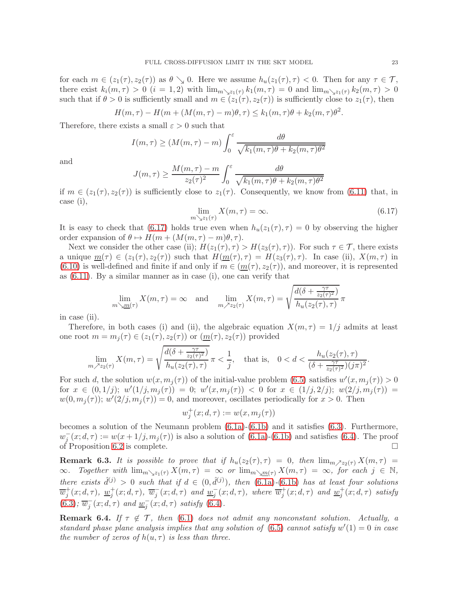for each  $m \in (z_1(\tau), z_2(\tau))$  as  $\theta \searrow 0$ . Here we assume  $h_u(z_1(\tau), \tau) < 0$ . Then for any  $\tau \in \mathcal{T}$ , there exist  $k_i(m, \tau) > 0$   $(i = 1, 2)$  with  $\lim_{m \searrow z_1(\tau)} k_1(m, \tau) = 0$  and  $\lim_{m \searrow z_1(\tau)} k_2(m, \tau) > 0$ such that if  $\theta > 0$  is sufficiently small and  $m \in (z_1(\tau), z_2(\tau))$  is sufficiently close to  $z_1(\tau)$ , then

$$
H(m,\tau) - H(m + (M(m,\tau) - m)\theta, \tau) \le k_1(m,\tau)\theta + k_2(m,\tau)\theta^2.
$$

Therefore, there exists a small  $\varepsilon > 0$  such that

$$
I(m,\tau) \ge (M(m,\tau) - m) \int_0^{\varepsilon} \frac{d\theta}{\sqrt{k_1(m,\tau)\theta + k_2(m,\tau)\theta^2}}
$$

and

$$
J(m,\tau) \ge \frac{M(m,\tau) - m}{z_2(\tau)^2} \int_0^{\varepsilon} \frac{d\theta}{\sqrt{k_1(m,\tau)\theta + k_2(m,\tau)\theta^2}}
$$

if  $m \in (z_1(\tau), z_2(\tau))$  is sufficiently close to  $z_1(\tau)$ . Consequently, we know from [\(6.11\)](#page-20-2) that, in case (i),

<span id="page-22-0"></span>
$$
\lim_{m \searrow z_1(\tau)} X(m, \tau) = \infty. \tag{6.17}
$$

It is easy to check that [\(6.17\)](#page-22-0) holds true even when  $h_u(z_1(\tau), \tau) = 0$  by observing the higher order expansion of  $\theta \mapsto H(m + (M(m, \tau) - m)\theta, \tau)$ .

Next we consider the other case (ii);  $H(z_1(\tau), \tau) > H(z_3(\tau), \tau)$ ). For such  $\tau \in \mathcal{T}$ , there exists a unique  $\underline{m}(\tau) \in (z_1(\tau), z_2(\tau))$  such that  $H(\underline{m}(\tau), \tau) = H(z_3(\tau), \tau)$ . In case (ii),  $X(m, \tau)$  in [\(6.10\)](#page-20-3) is well-defined and finite if and only if  $m \in (\underline{m}(\tau), z_2(\tau))$ , and moreover, it is represented as [\(6.11\)](#page-20-2). By a similar manner as in case (i), one can verify that

$$
\lim_{m \searrow m(\tau)} X(m, \tau) = \infty \quad \text{and} \quad \lim_{m \nearrow z_2(\tau)} X(m, \tau) = \sqrt{\frac{d(\delta + \frac{\gamma \tau}{z_2(\tau)^2})}{h_u(z_2(\tau), \tau)}} \pi
$$

in case (ii).

Therefore, in both cases (i) and (ii), the algebraic equation  $X(m, \tau) = 1/j$  admits at least one root  $m = m_j(\tau) \in (z_1(\tau), z_2(\tau))$  or  $(\underline{m}(\tau), z_2(\tau))$  provided

$$
\lim_{m \nearrow z_2(\tau)} X(m,\tau) = \sqrt{\frac{d(\delta + \frac{\gamma \tau}{z_2(\tau)^2})}{h_u(z_2(\tau),\tau)}} \pi < \frac{1}{j}, \quad \text{that is,} \quad 0 < d < \frac{h_u(z_2(\tau),\tau)}{(\delta + \frac{\gamma \tau}{z_2(\tau)^2})(j\pi)^2}.
$$

For such d, the solution  $w(x, m_j(\tau))$  of the initial-value problem [\(6.5\)](#page-19-0) satisfies  $w'(x, m_j(\tau)) > 0$  $\text{for } x \in (0, 1/j); w'(1/j, m_j(\tau)) = 0; w'(x, m_j(\tau)) < 0 \text{ for } x \in (1/j, 2/j); w(2/j, m_j(\tau)) = 0$  $w(0, m_j(\tau)); w'(2/j, m_j(\tau)) = 0$ , and moreover, oscillates periodically for  $x > 0$ . Then

$$
w_j^+(x;d,\tau):=w(x,m_j(\tau))
$$

becomes a solution of the Neumann problem [\(6.1a\)](#page-17-4)-[\(6.1b\)](#page-17-5) and it satisfies [\(6.3\)](#page-19-5). Furthermore,  $w_j^-(x; d, \tau) := w(x + 1/j, m_j(\tau))$  is also a solution of [\(6.1a\)](#page-17-4)-[\(6.1b\)](#page-17-5) and satisfies [\(6.4\)](#page-19-6). The proof of Proposition [6.2](#page-18-2) is complete.  $\Box$ 

**Remark 6.3.** It is possible to prove that if  $h_u(z_2(\tau), \tau) = 0$ , then  $\lim_{m \nearrow z_2(\tau)} X(m, \tau) =$  $\infty$ . Together with  $\lim_{m\searrow z_1(\tau)} X(m,\tau) = \infty$  or  $\lim_{m\searrow m(\tau)} X(m,\tau) = \infty$ , for each  $j \in \mathbb{N}$ , there exists  $\hat{d}^{(j)} > 0$  such that if  $d \in (0, \hat{d}^{(j)})$ , then  $(6.1a)$ - $(6.1b)$  has at least four solutions  $\overline{w}_j^+(x; d, \tau)$ ,  $\underline{w}_j^+(x; d, \tau)$ ,  $\overline{w}_j^-(x; d, \tau)$  and  $\underline{w}_j^-(x; d, \tau)$ , where  $\overline{w}_j^+(x; d, \tau)$  and  $\underline{w}_j^+(x; d, \tau)$  satisfy [\(6.3\)](#page-19-5);  $\overline{w}_j(x; d, \tau)$  and  $\underline{w}_j(x; d, \tau)$  satisfy [\(6.4\)](#page-19-6).

<span id="page-22-1"></span>**Remark 6.4.** If  $\tau \notin \mathcal{T}$ , then [\(6.1\)](#page-17-3) does not admit any nonconstant solution. Actually, a standard phase plane analysis implies that any solution of  $(6.5)$  cannot satisfy  $w'(1) = 0$  in case the number of zeros of  $h(u, \tau)$  is less than three.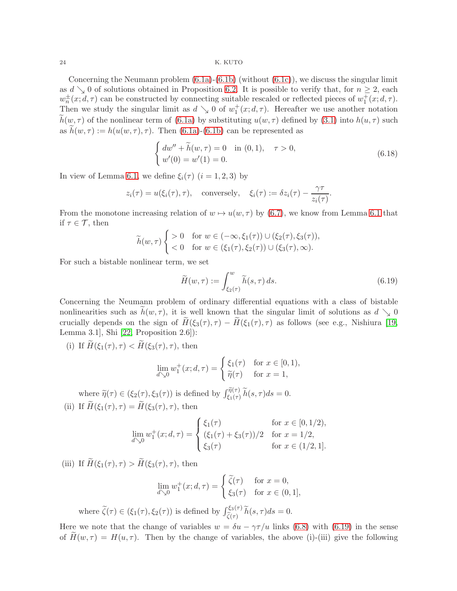Concerning the Neumann problem  $(6.1a)-(6.1b)$  $(6.1a)-(6.1b)$  (without  $(6.1c)$ ), we discuss the singular limit as  $d \searrow 0$  of solutions obtained in Proposition [6.2.](#page-18-2) It is possible to verify that, for  $n \geq 2$ , each  $w_n^{\pm}(x; d, \tau)$  can be constructed by connecting suitable rescaled or reflected pieces of  $w_1^+(x; d, \tau)$ . Then we study the singular limit as  $d \searrow 0$  of  $w_1^+(x; d, \tau)$ . Hereafter we use another notation  $\tilde{h}(w, \tau)$  of the nonlinear term of [\(6.1a\)](#page-17-4) by substituting  $u(w, \tau)$  defined by [\(3.1\)](#page-5-1) into  $h(u, \tau)$  such as  $h(w, \tau) := h(u(w, \tau), \tau)$ . Then [\(6.1a\)](#page-17-4)-[\(6.1b\)](#page-17-5) can be represented as

<span id="page-23-1"></span>
$$
\begin{cases}\ndw'' + \widetilde{h}(w,\tau) = 0 & \text{in } (0,1), \quad \tau > 0, \\
w'(0) = w'(1) = 0.\n\end{cases}
$$
\n(6.18)

In view of Lemma [6.1,](#page-18-0) we define  $\xi_i(\tau)$   $(i = 1, 2, 3)$  by

$$
z_i(\tau) = u(\xi_i(\tau), \tau)
$$
, conversely,  $\xi_i(\tau) := \delta z_i(\tau) - \frac{\gamma \tau}{z_i(\tau)}$ .

From the monotone increasing relation of  $w \mapsto u(w, \tau)$  by [\(6.7\)](#page-19-2), we know from Lemma [6.1](#page-18-0) that if  $\tau \in \mathcal{T}$ , then

$$
\widetilde{h}(w,\tau)\begin{cases}\n>0 & \text{for } w \in (-\infty,\xi_1(\tau)) \cup (\xi_2(\tau),\xi_3(\tau)), \\
< 0 & \text{for } w \in (\xi_1(\tau),\xi_2(\tau)) \cup (\xi_3(\tau),\infty).\n\end{cases}
$$

For such a bistable nonlinear term, we set

<span id="page-23-0"></span>
$$
\widetilde{H}(w,\tau) := \int_{\xi_2(\tau)}^w \widetilde{h}(s,\tau) \, ds. \tag{6.19}
$$

Concerning the Neumann problem of ordinary differential equations with a class of bistable nonlinearities such as  $h(w, \tau)$ , it is well known that the singular limit of solutions as  $d \searrow 0$ crucially depends on the sign of  $\widetilde{H}(\xi_3(\tau), \tau) - \widetilde{H}(\xi_1(\tau), \tau)$  as follows (see e.g., Nishiura [\[19,](#page-31-21) Lemma 3.1], Shi [\[22,](#page-31-22) Proposition 2.6]):

(i) If  $\widetilde{H}(\xi_1(\tau), \tau) < \widetilde{H}(\xi_3(\tau), \tau)$ , then

$$
\lim_{d \searrow 0} w_1^+(x; d, \tau) = \begin{cases} \xi_1(\tau) & \text{for } x \in [0, 1), \\ \tilde{\eta}(\tau) & \text{for } x = 1, \end{cases}
$$

where  $\widetilde{\eta}(\tau) \in (\xi_2(\tau), \xi_3(\tau))$  is defined by  $\int_{\xi_1(\tau)}^{\widetilde{\eta}(\tau)} \widetilde{h}(s, \tau) ds = 0$ . (ii) If  $\widetilde{H}(\xi_1(\tau), \tau) = \widetilde{H}(\xi_3(\tau), \tau)$ , then

$$
\lim_{d \searrow 0} w_1^+(x; d, \tau) = \begin{cases} \xi_1(\tau) & \text{for } x \in [0, 1/2), \\ (\xi_1(\tau) + \xi_3(\tau))/2 & \text{for } x = 1/2, \\ \xi_3(\tau) & \text{for } x \in (1/2, 1]. \end{cases}
$$

(iii) If  $\widetilde{H}(\xi_1(\tau), \tau) > \widetilde{H}(\xi_3(\tau), \tau)$ , then

$$
\lim_{d \searrow 0} w_1^+(x; d, \tau) = \begin{cases} \widetilde{\zeta}(\tau) & \text{for } x = 0, \\ \xi_3(\tau) & \text{for } x \in (0, 1], \end{cases}
$$

where  $\tilde{\zeta}(\tau) \in (\xi_1(\tau), \xi_2(\tau))$  is defined by  $\int_{\tilde{\zeta}(\tau)}^{\xi_3(\tau)} \tilde{h}(s, \tau) ds = 0$ .

Here we note that the change of variables  $w = \delta u - \gamma \tau / u$  links [\(6.8\)](#page-19-4) with [\(6.19\)](#page-23-0) in the sense of  $H(w, \tau) = H(u, \tau)$ . Then by the change of variables, the above (i)-(iii) give the following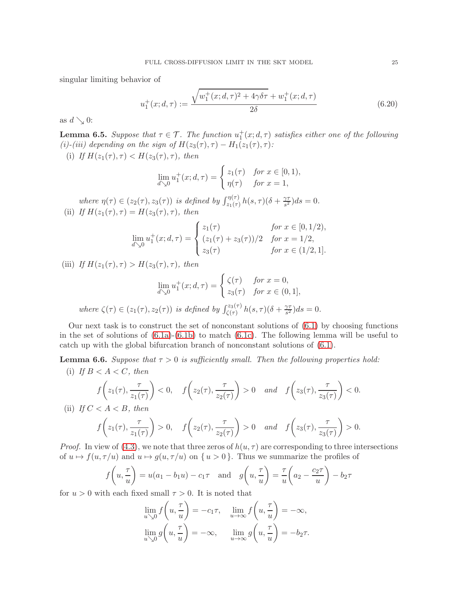singular limiting behavior of

<span id="page-24-2"></span>
$$
u_1^+(x; d, \tau) := \frac{\sqrt{w_1^+(x; d, \tau)^2 + 4\gamma \delta \tau} + w_1^+(x; d, \tau)}{2\delta}
$$
(6.20)

as  $d \searrow 0$ :

<span id="page-24-1"></span>**Lemma 6.5.** Suppose that  $\tau \in \mathcal{T}$ . The function  $u_1^+(x; d, \tau)$  satisfies either one of the following (i)-(iii) depending on the sign of  $H(z_3(\tau), \tau) - H_1(z_1(\tau), \tau)$ :

(i) If  $H(z_1(\tau), \tau) < H(z_3(\tau), \tau)$ , then

$$
\lim_{d \searrow 0} u_1^+(x; d, \tau) = \begin{cases} z_1(\tau) & \text{for } x \in [0, 1), \\ \eta(\tau) & \text{for } x = 1, \end{cases}
$$

where  $\eta(\tau) \in (z_2(\tau), z_3(\tau))$  is defined by  $\int_{z_1(\tau)}^{\eta(\tau)} h(s, \tau) (\delta + \frac{\gamma \tau}{s^2})$  $\frac{\gamma\tau}{s^2}$ ) $ds = 0$ . (ii) If  $H(z_1(\tau), \tau) = H(z_3(\tau), \tau)$ , then

$$
\lim_{d \searrow 0} u_1^+(x; d, \tau) = \begin{cases} z_1(\tau) & \text{for } x \in [0, 1/2), \\ (z_1(\tau) + z_3(\tau))/2 & \text{for } x = 1/2, \\ z_3(\tau) & \text{for } x \in (1/2, 1]. \end{cases}
$$

(iii) If  $H(z_1(\tau), \tau) > H(z_3(\tau), \tau)$ , then

$$
\lim_{d \searrow 0} u_1^+(x; d, \tau) = \begin{cases} \zeta(\tau) & \text{for } x = 0, \\ z_3(\tau) & \text{for } x \in (0, 1], \end{cases}
$$
  
where  $\zeta(\tau) \in (z_1(\tau), z_2(\tau))$  is defined by  $\int_{\zeta(\tau)}^{z_3(\tau)} h(s, \tau) (\delta + \frac{\gamma \tau}{s^2}) ds = 0$ .

Our next task is to construct the set of nonconstant solutions of  $(6.1)$  by choosing functions in the set of solutions of  $(6.1a)-(6.1b)$  $(6.1a)-(6.1b)$  to match  $(6.1c)$ . The following lemma will be useful to catch up with the global bifurcation branch of nonconstant solutions of [\(6.1\)](#page-17-3).

<span id="page-24-0"></span>**Lemma 6.6.** Suppose that  $\tau > 0$  is sufficiently small. Then the following properties hold: (i) If  $B < A < C$ , then

$$
f\left(z_1(\tau), \frac{\tau}{z_1(\tau)}\right) < 0, \quad f\left(z_2(\tau), \frac{\tau}{z_2(\tau)}\right) > 0 \quad \text{and} \quad f\left(z_3(\tau), \frac{\tau}{z_3(\tau)}\right) < 0.
$$

(ii) If  $C < A < B$ , then

$$
f\left(z_1(\tau), \frac{\tau}{z_1(\tau)}\right) > 0
$$
,  $f\left(z_2(\tau), \frac{\tau}{z_2(\tau)}\right) > 0$  and  $f\left(z_3(\tau), \frac{\tau}{z_3(\tau)}\right) > 0$ .

*Proof.* In view of [\(4.3\)](#page-8-4), we note that three zeros of  $h(u, \tau)$  are corresponding to three intersections of  $u \mapsto f(u, \tau/u)$  and  $u \mapsto g(u, \tau/u)$  on  $\{u > 0\}$ . Thus we summarize the profiles of

$$
f\left(u, \frac{\tau}{u}\right) = u(a_1 - b_1 u) - c_1 \tau
$$
 and  $g\left(u, \frac{\tau}{u}\right) = \frac{\tau}{u}\left(a_2 - \frac{c_2 \tau}{u}\right) - b_2 \tau$ 

for  $u > 0$  with each fixed small  $\tau > 0$ . It is noted that

$$
\lim_{u \searrow 0} f\left(u, \frac{\tau}{u}\right) = -c_1 \tau, \quad \lim_{u \to \infty} f\left(u, \frac{\tau}{u}\right) = -\infty,
$$

$$
\lim_{u \searrow 0} g\left(u, \frac{\tau}{u}\right) = -\infty, \quad \lim_{u \to \infty} g\left(u, \frac{\tau}{u}\right) = -b_2 \tau.
$$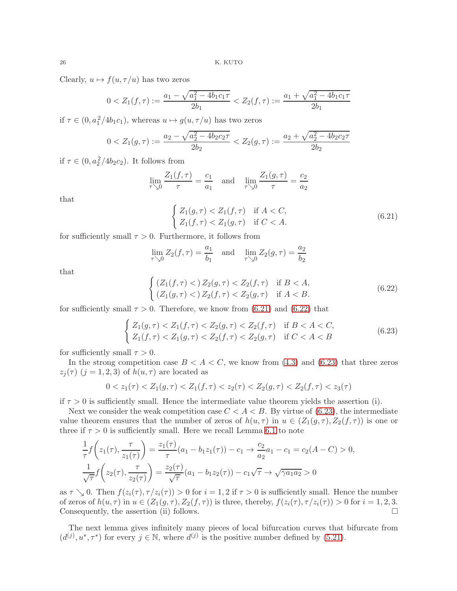Clearly,  $u \mapsto f(u, \tau/u)$  has two zeros

$$
0 < Z_1(f, \tau) := \frac{a_1 - \sqrt{a_1^2 - 4b_1c_1\tau}}{2b_1} < Z_2(f, \tau) := \frac{a_1 + \sqrt{a_1^2 - 4b_1c_1\tau}}{2b_1}
$$

if  $\tau \in (0, a_1^2/4b_1c_1)$ , whereas  $u \mapsto g(u, \tau/u)$  has two zeros

$$
0 < Z_1(g,\tau) := \frac{a_2 - \sqrt{a_2^2 - 4b_2c_2\tau}}{2b_2} < Z_2(g,\tau) := \frac{a_2 + \sqrt{a_2^2 - 4b_2c_2\tau}}{2b_2}
$$

if  $\tau \in (0, a_2^2/4b_2c_2)$ . It follows from

$$
\lim_{\tau \searrow 0} \frac{Z_1(f, \tau)}{\tau} = \frac{c_1}{a_1} \quad \text{and} \quad \lim_{\tau \searrow 0} \frac{Z_1(g, \tau)}{\tau} = \frac{c_2}{a_2}
$$

that

<span id="page-25-0"></span>
$$
\begin{cases} Z_1(g,\tau) < Z_1(f,\tau) \quad \text{if } A < C, \\ Z_1(f,\tau) < Z_1(g,\tau) \quad \text{if } C < A. \end{cases} \tag{6.21}
$$

for sufficiently small  $\tau > 0$ . Furthermore, it follows from

$$
\lim_{\tau \searrow 0} Z_2(f, \tau) = \frac{a_1}{b_1} \quad \text{and} \quad \lim_{\tau \searrow 0} Z_2(g, \tau) = \frac{a_2}{b_2}
$$

that

<span id="page-25-1"></span>
$$
\begin{cases} (Z_1(f,\tau) <) Z_2(g,\tau) < Z_2(f,\tau) \quad \text{if } B < A, \\ (Z_1(g,\tau) <) Z_2(f,\tau) < Z_2(g,\tau) \quad \text{if } A < B. \end{cases} \tag{6.22}
$$

for sufficiently small  $\tau > 0$ . Therefore, we know from [\(6.21\)](#page-25-0) and [\(6.22\)](#page-25-1) that

<span id="page-25-2"></span>
$$
\begin{cases} Z_1(g,\tau) < Z_1(f,\tau) < Z_2(g,\tau) < Z_2(f,\tau) \quad \text{if } B < A < C, \\ Z_1(f,\tau) < Z_1(g,\tau) < Z_2(f,\tau) < Z_2(g,\tau) \quad \text{if } C < A < B \end{cases} \tag{6.23}
$$

for sufficiently small  $\tau > 0$ .

In the strong competition case  $B < A < C$ , we know from [\(4.3\)](#page-8-4) and [\(6.23\)](#page-25-2) that three zeros  $z_i(\tau)$   $(j = 1, 2, 3)$  of  $h(u, \tau)$  are located as

$$
0 < z_1(\tau) < Z_1(g, \tau) < Z_1(f, \tau) < z_2(\tau) < Z_2(g, \tau) < Z_2(f, \tau) < z_3(\tau)
$$

if  $\tau > 0$  is sufficiently small. Hence the intermediate value theorem yields the assertion (i).

Next we consider the weak competition case  $C < A < B$ . By virtue of [\(6.23\)](#page-25-2), the intermediate value theorem ensures that the number of zeros of  $h(u, \tau)$  in  $u \in (Z_1(g, \tau), Z_2(f, \tau))$  is one or three if  $\tau > 0$  is sufficiently small. Here we recall Lemma [6.1](#page-18-0) to note

$$
\frac{1}{\tau} f\left(z_1(\tau), \frac{\tau}{z_1(\tau)}\right) = \frac{z_1(\tau)}{\tau} (a_1 - b_1 z_1(\tau)) - c_1 \to \frac{c_2}{a_2} a_1 - c_1 = c_2(A - C) > 0,
$$
  

$$
\frac{1}{\sqrt{\tau}} f\left(z_2(\tau), \frac{\tau}{z_2(\tau)}\right) = \frac{z_2(\tau)}{\sqrt{\tau}} (a_1 - b_1 z_2(\tau)) - c_1 \sqrt{\tau} \to \sqrt{\gamma a_1 a_2} > 0
$$

as  $\tau \searrow 0$ . Then  $f(z_i(\tau), \tau/z_i(\tau)) > 0$  for  $i = 1, 2$  if  $\tau > 0$  is sufficiently small. Hence the number of zeros of  $h(u, \tau)$  in  $u \in (Z_1(g, \tau), Z_2(f, \tau))$  is three, thereby,  $f(z_i(\tau), \tau/z_i(\tau)) > 0$  for  $i = 1, 2, 3$ .<br>Consequently, the assertion (ii) follows Consequently, the assertion (ii) follows.

The next lemma gives infinitely many pieces of local bifurcation curves that bifurcate from  $(d^{(j)}, u^*, \tau^*)$  for every  $j \in \mathbb{N}$ , where  $d^{(j)}$  is the positive number defined by [\(5.21\)](#page-16-5).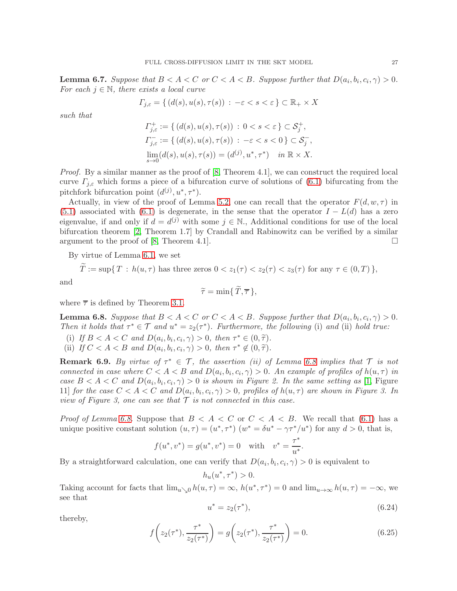<span id="page-26-3"></span>**Lemma 6.7.** Suppose that  $B < A < C$  or  $C < A < B$ . Suppose further that  $D(a_i, b_i, c_i, \gamma) > 0$ . For each  $j \in \mathbb{N}$ , there exists a local curve

$$
\varGamma_{j,\varepsilon}=\{\,(d(s),u(s),\tau(s))\,:\,-\varepsilon
$$

such that

$$
\begin{aligned} \varGamma_{j,\varepsilon}^+ &:= \{ \, (d(s), u(s), \tau(s)) \, : \, 0 < s < \varepsilon \, \} \subset \mathcal{S}_j^+, \\ \varGamma_{j,\varepsilon}^- &:= \{ \, (d(s), u(s), \tau(s)) \, : \, -\varepsilon < s < 0 \, \} \subset \mathcal{S}_j^-, \\ \lim_{s \to 0} (d(s), u(s), \tau(s)) &= (d^{(j)}, u^*, \tau^*) \quad \text{in } \mathbb{R} \times X. \end{aligned}
$$

Proof. By a similar manner as the proof of [\[8,](#page-31-0) Theorem 4.1], we can construct the required local curve  $\Gamma_{i,\varepsilon}$  which forms a piece of a bifurcation curve of solutions of [\(6.1\)](#page-17-3) bifurcating from the pitchfork bifurcation point  $(d^{(j)}, u^*, \tau^*)$ .

Actually, in view of the proof of Lemma [5.2,](#page-14-3) one can recall that the operator  $F(d, w, \tau)$  in [\(5.1\)](#page-12-1) associated with [\(6.1\)](#page-17-3) is degenerate, in the sense that the operator  $I - L(d)$  has a zero eigenvalue, if and only if  $d = d^{(j)}$  with some  $j \in \mathbb{N}$ . Additional conditions for use of the local bifurcation theorem [\[2,](#page-30-1) Theorem 1.7] by Crandall and Rabinowitz can be verified by a similar argument to the proof of [\[8,](#page-31-0) Theorem 4.1].

By virtue of Lemma [6.1,](#page-18-0) we set

$$
T := \sup\{T : h(u,\tau) \text{ has three zeros } 0 < z_1(\tau) < z_2(\tau) < z_3(\tau) \text{ for any } \tau \in (0,T)\},
$$

and

$$
\widetilde{\tau} = \min\{\,\widetilde{T},\overline{\tau}\,\},\
$$

where  $\bar{\tau}$  is defined by Theorem [3.1.](#page-6-1)

<span id="page-26-0"></span>**Lemma 6.8.** Suppose that  $B < A < C$  or  $C < A < B$ . Suppose further that  $D(a_i, b_i, c_i, \gamma) > 0$ . Then it holds that  $\tau^* \in \mathcal{T}$  and  $u^* = z_2(\tau^*)$ . Furthermore, the following (i) and (ii) hold true:

- (i) If  $B < A < C$  and  $D(a_i, b_i, c_i, \gamma) > 0$ , then  $\tau^* \in (0, \tilde{\tau})$ .<br>(iii) If  $C < A < B$  and  $D(a_i, b_i, c_i, \gamma) > 0$ , then  $\tau^* \notin (0, \tilde{\tau})$ .
- (ii) If  $C < A < B$  and  $D(a_i, b_i, c_i, \gamma) > 0$ , then  $\tau^* \notin (0, \tilde{\tau})$ .

<span id="page-26-4"></span>**Remark 6.9.** By virtue of  $\tau^* \in \mathcal{T}$ , the assertion (ii) of Lemma [6.8](#page-26-0) implies that  $\mathcal{T}$  is not connected in case where  $C < A < B$  and  $D(a_i, b_i, c_i, \gamma) > 0$ . An example of profiles of  $h(u, \tau)$  in case  $B < A < C$  and  $D(a_i, b_i, c_i, \gamma) > 0$  is shown in Figure 2. In the same setting as [\[1,](#page-30-0) Figure 11] for the case  $C < A < C$  and  $D(a_i, b_i, c_i, \gamma) > 0$ , profiles of  $h(u, \tau)$  are shown in Figure 3. In view of Figure 3, one can see that  $\mathcal T$  is not connected in this case.

*Proof of Lemma [6.8.](#page-26-0)* Suppose that  $B < A < C$  or  $C < A < B$ . We recall that [\(6.1\)](#page-17-3) has a unique positive constant solution  $(u, \tau) = (u^*, \tau^*) (w^* = \delta u^* - \gamma \tau^* / u^*)$  for any  $d > 0$ , that is,

$$
f(u^*, v^*) = g(u^*, v^*) = 0
$$
 with  $v^* = \frac{\tau^*}{u^*}$ .

By a straightforward calculation, one can verify that  $D(a_i, b_i, c_i, \gamma) > 0$  is equivalent to

$$
h_u(u^*, \tau^*) > 0.
$$

Taking account for facts that  $\lim_{u\to 0} h(u,\tau) = \infty$ ,  $h(u^*, \tau^*) = 0$  and  $\lim_{u\to \infty} h(u,\tau) = -\infty$ , we see that

<span id="page-26-1"></span>
$$
u^* = z_2(\tau^*), \tag{6.24}
$$

thereby,

<span id="page-26-2"></span>
$$
f\left(z_2(\tau^*), \frac{\tau^*}{z_2(\tau^*)}\right) = g\left(z_2(\tau^*), \frac{\tau^*}{z_2(\tau^*)}\right) = 0.
$$
 (6.25)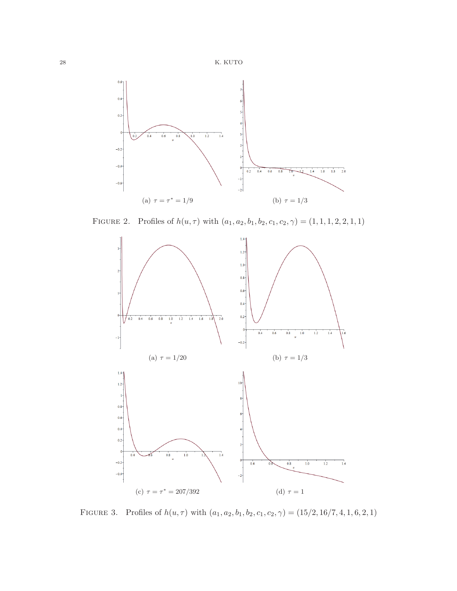

FIGURE 3. Profiles of  $h(u, \tau)$  with  $(a_1, a_2, b_1, b_2, c_1, c_2, \gamma) = (15/2, 16/7, 4, 1, 6, 2, 1)$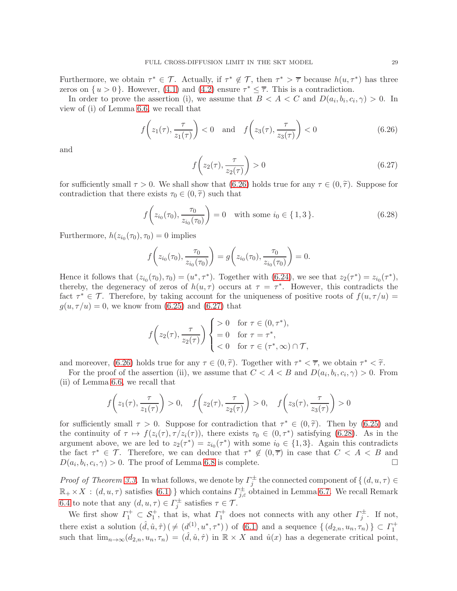Furthermore, we obtain  $\tau^* \in \mathcal{T}$ . Actually, if  $\tau^* \notin \mathcal{T}$ , then  $\tau^* > \overline{\tau}$  because  $h(u, \tau^*)$  has three zeros on  $\{u > 0\}$ . However, [\(4.1\)](#page-8-0) and [\(4.2\)](#page-8-1) ensure  $\tau^* \leq \overline{\tau}$ . This is a contradiction.

In order to prove the assertion (i), we assume that  $B < A < C$  and  $D(a_i, b_i, c_i, \gamma) > 0$ . In view of (i) of Lemma [6.6,](#page-24-0) we recall that

<span id="page-28-0"></span>
$$
f\left(z_1(\tau), \frac{\tau}{z_1(\tau)}\right) < 0 \quad \text{and} \quad f\left(z_3(\tau), \frac{\tau}{z_3(\tau)}\right) < 0 \tag{6.26}
$$

and

<span id="page-28-1"></span>
$$
f\left(z_2(\tau), \frac{\tau}{z_2(\tau)}\right) > 0\tag{6.27}
$$

for sufficiently small  $\tau > 0$ . We shall show that [\(6.26\)](#page-28-0) holds true for any  $\tau \in (0, \tilde{\tau})$ . Suppose for contradiction that there exists  $\tau_0 \in (0, \tilde{\tau})$  such that

<span id="page-28-2"></span>
$$
f\left(z_{i_0}(\tau_0), \frac{\tau_0}{z_{i_0}(\tau_0)}\right) = 0 \quad \text{with some } i_0 \in \{1, 3\}. \tag{6.28}
$$

Furthermore,  $h(z_{i_0}(\tau_0), \tau_0) = 0$  implies

$$
f\left(z_{i_0}(\tau_0), \frac{\tau_0}{z_{i_0}(\tau_0)}\right) = g\left(z_{i_0}(\tau_0), \frac{\tau_0}{z_{i_0}(\tau_0)}\right) = 0.
$$

Hence it follows that  $(z_{i_0}(\tau_0), \tau_0) = (u^*, \tau^*)$ . Together with  $(6.24)$ , we see that  $z_2(\tau^*) = z_{i_0}(\tau^*)$ , thereby, the degeneracy of zeros of  $h(u, \tau)$  occurs at  $\tau = \tau^*$ . However, this contradicts the fact  $\tau^* \in \mathcal{T}$ . Therefore, by taking account for the uniqueness of positive roots of  $f(u, \tau/u) =$  $g(u, \tau/u) = 0$ , we know from [\(6.25\)](#page-26-2) and [\(6.27\)](#page-28-1) that

$$
f\left(z_2(\tau), \frac{\tau}{z_2(\tau)}\right) \begin{cases} > 0 \quad \text{for } \tau \in (0, \tau^*), \\ = 0 \quad \text{for } \tau = \tau^*, \\ < 0 \quad \text{for } \tau \in (\tau^*, \infty) \cap \mathcal{T}, \end{cases}
$$

and moreover,  $(6.26)$  holds true for any  $\tau \in (0, \tilde{\tau})$ . Together with  $\tau^* \leq \overline{\tau}$ , we obtain  $\tau^* \leq \tilde{\tau}$ .

For the proof of the assertion (ii), we assume that  $C < A < B$  and  $D(a_i, b_i, c_i, \gamma) > 0$ . From (ii) of Lemma [6.6,](#page-24-0) we recall that

$$
f\left(z_1(\tau), \frac{\tau}{z_1(\tau)}\right) > 0, \quad f\left(z_2(\tau), \frac{\tau}{z_2(\tau)}\right) > 0, \quad f\left(z_3(\tau), \frac{\tau}{z_3(\tau)}\right) > 0
$$

for sufficiently small  $\tau > 0$ . Suppose for contradiction that  $\tau^* \in (0, \tilde{\tau})$ . Then by [\(6.25\)](#page-26-2) and<br>the continuity of  $\tau \mapsto f(x(\tau), \tau(x(\tau)))$ , there exists  $\tau \in (0, \tau^*)$  extigling (6.28). As in the the continuity of  $\tau \mapsto f(z_i(\tau), \tau/z_i(\tau))$ , there exists  $\tau_0 \in (0, \tau^*)$  satisfying [\(6.28\)](#page-28-2). As in the argument above, we are led to  $z_2(\tau^*) = z_{i_0}(\tau^*)$  with some  $i_0 \in \{1,3\}$ . Again this contradicts the fact  $\tau^* \in \mathcal{T}$ . Therefore, we can deduce that  $\tau^* \notin (0, \overline{\tau})$  in case that  $C < A < B$  and  $D(a_i, b_i, c_i, \gamma) > 0$ . The proof of Lemma [6.8](#page-26-0) is complete.

*Proof of Theorem [3.3.](#page-7-0)* In what follows, we denote by  $\Gamma_j^{\pm}$  the connected component of  $\{ (d, u, \tau) \in$  $\mathbb{R}_+ \times X$ :  $(d, u, \tau)$  satisfies  $(6.1)$  which contains  $\Gamma^{\pm}_{j,\varepsilon}$  obtained in Lemma [6.7.](#page-26-3) We recall Remark [6.4](#page-22-1) to note that any  $(d, u, \tau) \in \Gamma_j^{\pm}$  satisfies  $\tau \in \mathcal{T}$ .

We first show  $\Gamma_1^+ \subset \mathcal{S}_1^+$ , that is, what  $\Gamma_1^+$  does not connects with any other  $\Gamma_j^{\pm}$ . If not, there exist a solution  $(\hat{d}, \hat{u}, \hat{\tau}) \, (\neq (d_1^{\left(1\right)}, u^*, \tau^*))$  of  $(6.1)$  and a sequence  $\{ (d_{2,n}, u_n, \tau_n) \} \subset \Gamma_1^+$ such that  $\lim_{n\to\infty}(d_{2,n},u_n,\tau_n)=(\hat{d},\hat{u},\hat{\tau})$  in  $\mathbb{R}\times X$  and  $\hat{u}(x)$  has a degenerate critical point,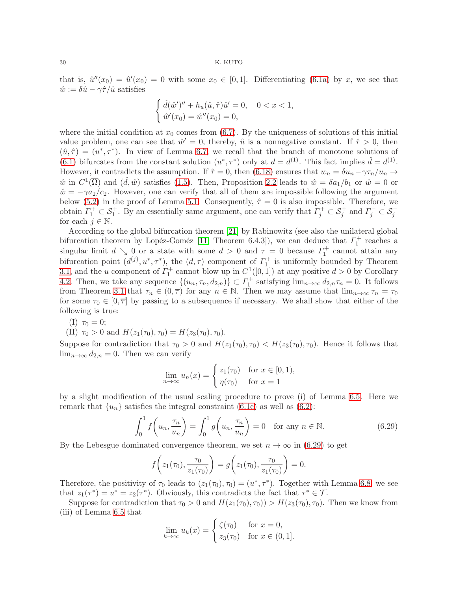that is,  $\hat{u}''(x_0) = \hat{u}'(x_0) = 0$  with some  $x_0 \in [0,1]$ . Differentiating [\(6.1a\)](#page-17-4) by x, we see that  $\hat{w} := \delta \hat{u} - \gamma \hat{\tau}/\hat{u}$  satisfies

$$
\begin{cases} \n\hat{d}(\hat{w}')'' + h_u(\hat{u}, \hat{\tau})\hat{u}' = 0, \quad 0 < x < 1, \\ \n\hat{w}'(x_0) = \hat{w}''(x_0) = 0, \n\end{cases}
$$

where the initial condition at  $x_0$  comes from [\(6.7\)](#page-19-2). By the uniqueness of solutions of this initial value problem, one can see that  $\hat{w}' = 0$ , thereby,  $\hat{u}$  is a nonnegative constant. If  $\hat{\tau} > 0$ , then  $(\hat{u}, \hat{\tau}) = (u^*, \tau^*)$ . In view of Lemma [6.7,](#page-26-3) we recall that the branch of monotone solutions of [\(6.1\)](#page-17-3) bifurcates from the constant solution  $(u^*, \tau^*)$  only at  $d = d^{(1)}$ . This fact implies  $\hat{d} = d^{(1)}$ . However, it contradicts the assumption. If  $\hat{\tau} = 0$ , then [\(6.18\)](#page-23-1) ensures that  $w_n = \delta u_n - \gamma \tau_n / u_n \rightarrow$  $\hat{w}$  in  $C^1(\overline{\Omega})$  and  $(\hat{d}, \hat{w})$  satisfies [\(1.5\)](#page-2-2). Then, Proposition [2.2](#page-4-3) leads to  $\hat{w} = \delta a_1/b_1$  or  $\hat{w} = 0$  or  $\hat{w} = -\gamma a_2/c_2$ . However, one can verify that all of them are impossible following the argument below [\(5.2\)](#page-13-2) in the proof of Lemma [5.1.](#page-12-0) Consequently,  $\hat{\tau} = 0$  is also impossible. Therefore, we obtain  $\Gamma_1^+ \subset \mathcal{S}_1^+$ . By an essentially same argument, one can verify that  $\Gamma_j^+ \subset \mathcal{S}_j^+$  and  $\Gamma_j^- \subset \mathcal{S}_j^$ for each  $j \in \mathbb{N}$ .

According to the global bifurcation theorem [\[21\]](#page-31-23) by Rabinowitz (see also the unilateral global bifurcation theorem by Lopéz-Goméz [\[11,](#page-31-24) Theorem 6.4.3]), we can deduce that  $\Gamma_1^+$  reaches a singular limit  $d \searrow 0$  or a state with some  $d > 0$  and  $\tau = 0$  because  $\Gamma_1^+$  cannot attain any bifurcation point  $(d^{(j)}, u^*, \tau^*)$ , the  $(d, \tau)$  component of  $\Gamma_1^+$  is uniformly bounded by Theorem [3.1,](#page-6-1) and the u component of  $\Gamma_1^+$  cannot blow up in  $C^1([0,1])$  at any positive  $d > 0$  by Corollary [4.2.](#page-10-3) Then, we take any sequence  $\{(u_n, \tau_n, d_{2,n})\} \subset \Gamma_1^+$  satisfying  $\lim_{n\to\infty} d_{2,n}\tau_n = 0$ . It follows from Theorem [3.1](#page-6-1) that  $\tau_n \in (0, \overline{\tau})$  for any  $n \in \mathbb{N}$ . Then we may assume that  $\lim_{n\to\infty} \tau_n = \tau_0$ for some  $\tau_0 \in [0, \overline{\tau}]$  by passing to a subsequence if necessary. We shall show that either of the following is true:

(I) 
$$
\tau_0 = 0;
$$

(II) 
$$
\tau_0 > 0
$$
 and  $H(z_1(\tau_0), \tau_0) = H(z_3(\tau_0), \tau_0)$ .

Suppose for contradiction that  $\tau_0 > 0$  and  $H(z_1(\tau_0), \tau_0) < H(z_3(\tau_0), \tau_0)$ . Hence it follows that  $\lim_{n\to\infty} d_{2,n} = 0$ . Then we can verify

$$
\lim_{n \to \infty} u_n(x) = \begin{cases} z_1(\tau_0) & \text{for } x \in [0, 1), \\ \eta(\tau_0) & \text{for } x = 1 \end{cases}
$$

by a slight modification of the usual scaling procedure to prove (i) of Lemma [6.5.](#page-24-1) Here we remark that  $\{u_n\}$  satisfies the integral constraint [\(6.1c\)](#page-18-1) as well as [\(6.2\)](#page-18-3):

<span id="page-29-0"></span>
$$
\int_0^1 f\left(u_n, \frac{\tau_n}{u_n}\right) = \int_0^1 g\left(u_n, \frac{\tau_n}{u_n}\right) = 0 \quad \text{for any } n \in \mathbb{N}.
$$
 (6.29)

By the Lebesgue dominated convergence theorem, we set  $n \to \infty$  in [\(6.29\)](#page-29-0) to get

$$
f\left(z_1(\tau_0), \frac{\tau_0}{z_1(\tau_0)}\right) = g\left(z_1(\tau_0), \frac{\tau_0}{z_1(\tau_0)}\right) = 0.
$$

Therefore, the positivity of  $\tau_0$  leads to  $(z_1(\tau_0), \tau_0) = (u^*, \tau^*)$ . Together with Lemma [6.8,](#page-26-0) we see that  $z_1(\tau^*) = u^* = z_2(\tau^*)$ . Obviously, this contradicts the fact that  $\tau^* \in \mathcal{T}$ .

Suppose for contradiction that  $\tau_0 > 0$  and  $H(z_1(\tau_0), \tau_0) > H(z_3(\tau_0), \tau_0)$ . Then we know from (iii) of Lemma [6.5](#page-24-1) that

$$
\lim_{k \to \infty} u_k(x) = \begin{cases} \zeta(\tau_0) & \text{for } x = 0, \\ z_3(\tau_0) & \text{for } x \in (0, 1]. \end{cases}
$$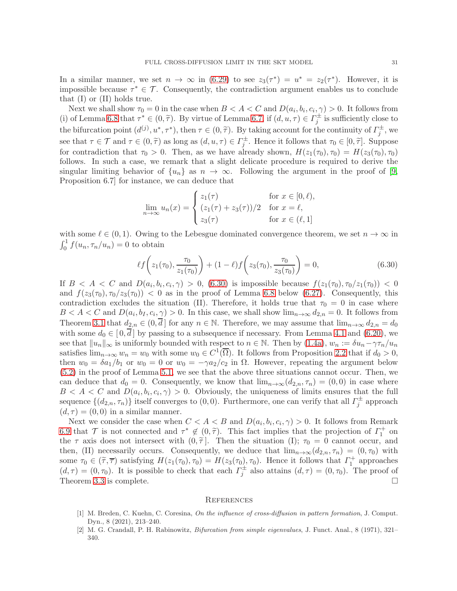In a similar manner, we set  $n \to \infty$  in [\(6.29\)](#page-29-0) to see  $z_3(\tau^*) = u^* = z_2(\tau^*)$ . However, it is impossible because  $\tau^* \in \mathcal{T}$ . Consequently, the contradiction argument enables us to conclude that (I) or (II) holds true.

Next we shall show  $\tau_0 = 0$  in the case when  $B < A < C$  and  $D(a_i, b_i, c_i, \gamma) > 0$ . It follows from (i) of Lemma [6.8](#page-26-0) that  $\tau^* \in (0, \tilde{\tau})$ . By virtue of Lemma [6.7,](#page-26-3) if  $(d, u, \tau) \in \Gamma_j^{\pm}$  is sufficiently close to the bifurcation point  $(d^{(j)}, u^*, \tau^*)$ , then  $\tau \in (0, \tilde{\tau})$ . By taking account for the continuity of  $\Gamma_j^{\pm}$ , we see that  $\tau \in \mathcal{T}$  and  $\tau \in (0, \tilde{\tau})$  as long as  $(d, u, \tau) \in \Gamma_i^{\pm}$ . Hence it follows that  $\tau_0 \in [0, \tilde{\tau}]$ . Suppose for contradiction that  $\tau_0 > 0$ . Then, as we have already shown,  $H(z_1(\tau_0), \tau_0) = H(z_3(\tau_0), \tau_0)$ follows. In such a case, we remark that a slight delicate procedure is required to derive the singular limiting behavior of  $\{u_n\}$  as  $n \to \infty$ . Following the argument in the proof of [\[9,](#page-31-25) Proposition 6.7] for instance, we can deduce that

$$
\lim_{n \to \infty} u_n(x) = \begin{cases} z_1(\tau) & \text{for } x \in [0, \ell), \\ (z_1(\tau) + z_3(\tau))/2 & \text{for } x = \ell, \\ z_3(\tau) & \text{for } x \in (\ell, 1] \end{cases}
$$

with some  $\ell \in (0,1)$ . Owing to the Lebesgue dominated convergence theorem, we set  $n \to \infty$  in  $\int_0^1 f(u_n, \tau_n/u_n) = 0$  to obtain

<span id="page-30-2"></span>
$$
\ell f\left(z_1(\tau_0), \frac{\tau_0}{z_1(\tau_0)}\right) + (1 - \ell) f\left(z_3(\tau_0), \frac{\tau_0}{z_3(\tau_0)}\right) = 0, \tag{6.30}
$$

If  $B < A < C$  and  $D(a_i, b_i, c_i, \gamma) > 0$ , [\(6.30\)](#page-30-2) is impossible because  $f(z_1(\tau_0), \tau_0/z_1(\tau_0)) < 0$ and  $f(z_3(\tau_0), \tau_0/z_3(\tau_0))$  < 0 as in the proof of Lemma [6.8](#page-26-0) below [\(6.27\)](#page-28-1). Consequently, this contradiction excludes the situation (II). Therefore, it holds true that  $\tau_0 = 0$  in case where  $B < A < C$  and  $D(a_i, b_I, c_i, \gamma) > 0$ . In this case, we shall show  $\lim_{n\to\infty} d_{2,n} = 0$ . It follows from Theorem [3.1](#page-6-1) that  $d_{2,n} \in (0,d]$  for any  $n \in \mathbb{N}$ . Therefore, we may assume that  $\lim_{n\to\infty} d_{2,n} = d_0$ with some  $d_0 \in [0, \overline{d}]$  by passing to a subsequence if necessary. From Lemma [4.1](#page-8-3) and [\(6.20\)](#page-24-2), we see that  $||u_n||_{\infty}$  is uniformly bounded with respect to  $n \in \mathbb{N}$ . Then by [\(1.4a\)](#page-1-4),  $w_n := \delta u_n - \gamma \tau_n/u_n$ satisfies  $\lim_{n\to\infty} w_n = w_0$  with some  $w_0 \in C^1(\overline{\Omega})$ . It follows from Proposition [2.2](#page-4-3) that if  $d_0 > 0$ , then  $w_0 = \delta a_1/b_1$  or  $w_0 = 0$  or  $w_0 = -\gamma a_2/c_2$  in  $\Omega$ . However, repeating the argument below [\(5.2\)](#page-13-2) in the proof of Lemma [5.1,](#page-12-0) we see that the above three situations cannot occur. Then, we can deduce that  $d_0 = 0$ . Consequently, we know that  $\lim_{n\to\infty} (d_{2,n}, \tau_n) = (0, 0)$  in case where  $B < A < C$  and  $D(a_i, b_i, c_i, \gamma) > 0$ . Obviously, the uniqueness of limits ensures that the full sequence  $\{(d_{2,n}, \tau_n)\}\)$  itself converges to  $(0, 0)$ . Furthermore, one can verify that all  $\Gamma_j^{\pm}$  approach  $(d, \tau) = (0, 0)$  in a similar manner.

Next we consider the case when  $C < A < B$  and  $D(a_i, b_i, c_i, \gamma) > 0$ . It follows from Remark [6.9](#page-26-4) that  $\mathcal{T}$  is not connected and  $\tau^* \notin (0, \tilde{\tau})$ . This fact implies that the projection of  $\Gamma_1^+$  on the  $\tau$  axis does not intersect with  $(0, \tilde{\tau})$ . Then the situation (I);  $\tau_0 = 0$  cannot occur, and then, (II) necessarily occurs. Consequently, we deduce that  $\lim_{n\to\infty}(d_{2,n}, \tau_n) = (0, \tau_0)$  with some  $\tau_0 \in (\tilde{\tau}, \overline{\tau})$  satisfying  $H(z_1(\tau_0), \tau_0) = H(z_3(\tau_0), \tau_0)$ . Hence it follows that  $\Gamma_1^+$  approaches  $(d, \tau) = (0, \tau_0)$ . It is possible to check that each  $\Gamma_j^{\pm}$  also attains  $(d, \tau) = (0, \tau_0)$ . The proof of Theorem [3.3](#page-7-0) is complete.  $\Box$ 

### **REFERENCES**

- <span id="page-30-0"></span>[1] M. Breden, C. Kuehn, C. Coresina, On the influence of cross-diffusion in pattern formation, J. Comput. Dyn., 8 (2021), 213–240.
- <span id="page-30-1"></span>[2] M. G. Crandall, P. H. Rabinowitz, Bifurcation from simple eigenvalues, J. Funct. Anal., 8 (1971), 321– 340.